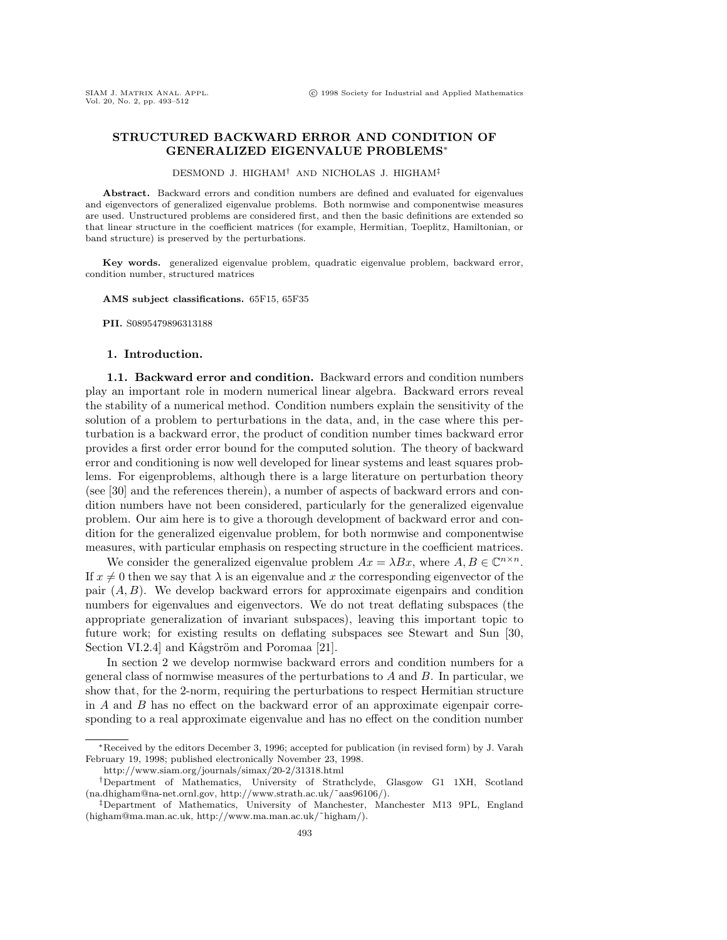# **STRUCTURED BACKWARD ERROR AND CONDITION OF GENERALIZED EIGENVALUE PROBLEMS**<sup>∗</sup>

DESMOND J. HIGHAM† AND NICHOLAS J. HIGHAM‡

**Abstract.** Backward errors and condition numbers are defined and evaluated for eigenvalues and eigenvectors of generalized eigenvalue problems. Both normwise and componentwise measures are used. Unstructured problems are considered first, and then the basic definitions are extended so that linear structure in the coefficient matrices (for example, Hermitian, Toeplitz, Hamiltonian, or band structure) is preserved by the perturbations.

**Key words.** generalized eigenvalue problem, quadratic eigenvalue problem, backward error, condition number, structured matrices

**AMS subject classifications.** 65F15, 65F35

**PII.** S0895479896313188

### **1. Introduction.**

**1.1. Backward error and condition.** Backward errors and condition numbers play an important role in modern numerical linear algebra. Backward errors reveal the stability of a numerical method. Condition numbers explain the sensitivity of the solution of a problem to perturbations in the data, and, in the case where this perturbation is a backward error, the product of condition number times backward error provides a first order error bound for the computed solution. The theory of backward error and conditioning is now well developed for linear systems and least squares problems. For eigenproblems, although there is a large literature on perturbation theory (see [30] and the references therein), a number of aspects of backward errors and condition numbers have not been considered, particularly for the generalized eigenvalue problem. Our aim here is to give a thorough development of backward error and condition for the generalized eigenvalue problem, for both normwise and componentwise measures, with particular emphasis on respecting structure in the coefficient matrices.

We consider the generalized eigenvalue problem  $Ax = \lambda Bx$ , where  $A, B \in \mathbb{C}^{n \times n}$ . If  $x \neq 0$  then we say that  $\lambda$  is an eigenvalue and x the corresponding eigenvector of the pair  $(A, B)$ . We develop backward errors for approximate eigenpairs and condition numbers for eigenvalues and eigenvectors. We do not treat deflating subspaces (the appropriate generalization of invariant subspaces), leaving this important topic to future work; for existing results on deflating subspaces see Stewart and Sun [30, Section VI.2.4] and Kågström and Poromaa [21].

In section 2 we develop normwise backward errors and condition numbers for a general class of normwise measures of the perturbations to  $A$  and  $B$ . In particular, we show that, for the 2-norm, requiring the perturbations to respect Hermitian structure in A and B has no effect on the backward error of an approximate eigenpair corresponding to a real approximate eigenvalue and has no effect on the condition number

<sup>∗</sup>Received by the editors December 3, 1996; accepted for publication (in revised form) by J. Varah February 19, 1998; published electronically November 23, 1998.

http://www.siam.org/journals/simax/20-2/31318.html

<sup>†</sup>Department of Mathematics, University of Strathclyde, Glasgow G1 1XH, Scotland (na.dhigham@na-net.ornl.gov, http://www.strath.ac.uk/˜aas96106/).

<sup>‡</sup>Department of Mathematics, University of Manchester, Manchester M13 9PL, England (higham@ma.man.ac.uk, http://www.ma.man.ac.uk/˜higham/).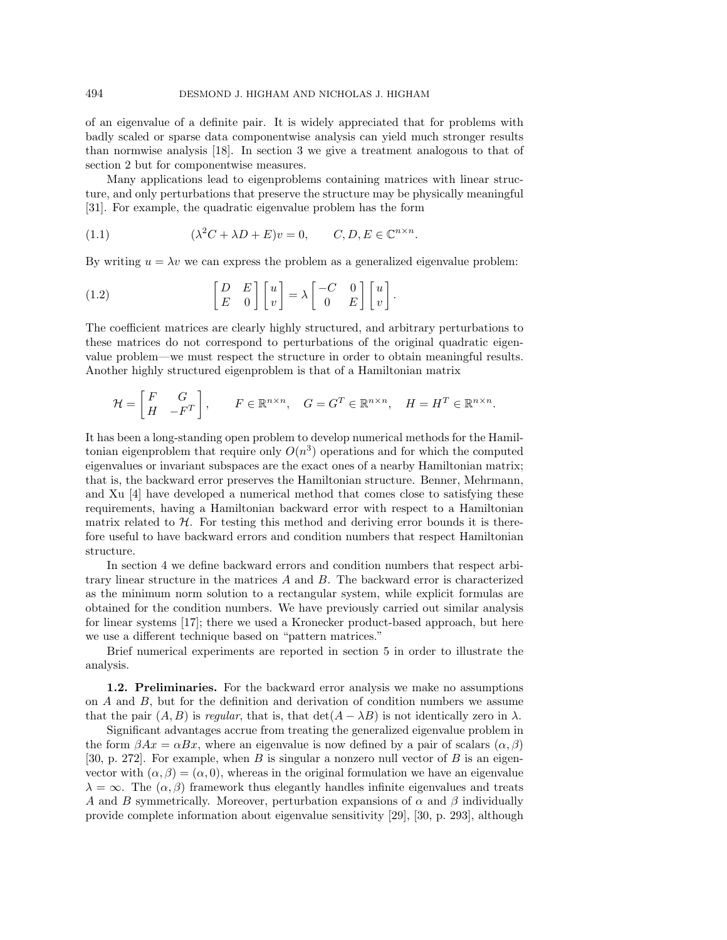of an eigenvalue of a definite pair. It is widely appreciated that for problems with badly scaled or sparse data componentwise analysis can yield much stronger results than normwise analysis [18]. In section 3 we give a treatment analogous to that of section 2 but for componentwise measures.

Many applications lead to eigenproblems containing matrices with linear structure, and only perturbations that preserve the structure may be physically meaningful [31]. For example, the quadratic eigenvalue problem has the form

(1.1) 
$$
(\lambda^2 C + \lambda D + E)v = 0, \qquad C, D, E \in \mathbb{C}^{n \times n}.
$$

By writing  $u = \lambda v$  we can express the problem as a generalized eigenvalue problem:

(1.2) 
$$
\begin{bmatrix} D & E \\ E & 0 \end{bmatrix} \begin{bmatrix} u \\ v \end{bmatrix} = \lambda \begin{bmatrix} -C & 0 \\ 0 & E \end{bmatrix} \begin{bmatrix} u \\ v \end{bmatrix}.
$$

The coefficient matrices are clearly highly structured, and arbitrary perturbations to these matrices do not correspond to perturbations of the original quadratic eigenvalue problem—we must respect the structure in order to obtain meaningful results. Another highly structured eigenproblem is that of a Hamiltonian matrix

$$
\mathcal{H} = \begin{bmatrix} F & G \\ H & -F^T \end{bmatrix}, \qquad F \in \mathbb{R}^{n \times n}, \quad G = G^T \in \mathbb{R}^{n \times n}, \quad H = H^T \in \mathbb{R}^{n \times n}.
$$

It has been a long-standing open problem to develop numerical methods for the Hamiltonian eigenproblem that require only  $O(n^3)$  operations and for which the computed eigenvalues or invariant subspaces are the exact ones of a nearby Hamiltonian matrix; that is, the backward error preserves the Hamiltonian structure. Benner, Mehrmann, and Xu [4] have developed a numerical method that comes close to satisfying these requirements, having a Hamiltonian backward error with respect to a Hamiltonian matrix related to  $H$ . For testing this method and deriving error bounds it is therefore useful to have backward errors and condition numbers that respect Hamiltonian structure.

In section 4 we define backward errors and condition numbers that respect arbitrary linear structure in the matrices A and B. The backward error is characterized as the minimum norm solution to a rectangular system, while explicit formulas are obtained for the condition numbers. We have previously carried out similar analysis for linear systems [17]; there we used a Kronecker product-based approach, but here we use a different technique based on "pattern matrices."

Brief numerical experiments are reported in section 5 in order to illustrate the analysis.

**1.2. Preliminaries.** For the backward error analysis we make no assumptions on A and B, but for the definition and derivation of condition numbers we assume that the pair  $(A, B)$  is regular, that is, that  $\det(A - \lambda B)$  is not identically zero in  $\lambda$ .

Significant advantages accrue from treating the generalized eigenvalue problem in the form  $\beta Ax = \alpha Bx$ , where an eigenvalue is now defined by a pair of scalars  $(\alpha, \beta)$ [30, p. 272]. For example, when B is singular a nonzero null vector of B is an eigenvector with  $(\alpha, \beta) = (\alpha, 0)$ , whereas in the original formulation we have an eigenvalue  $\lambda = \infty$ . The  $(\alpha, \beta)$  framework thus elegantly handles infinite eigenvalues and treats A and B symmetrically. Moreover, perturbation expansions of  $\alpha$  and  $\beta$  individually provide complete information about eigenvalue sensitivity [29], [30, p. 293], although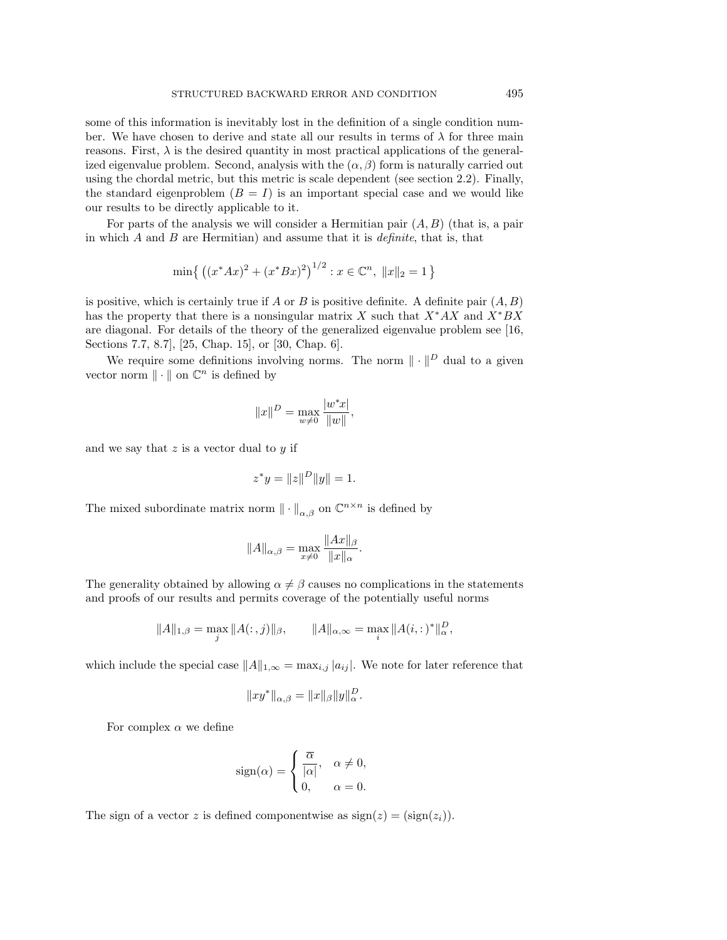some of this information is inevitably lost in the definition of a single condition number. We have chosen to derive and state all our results in terms of  $\lambda$  for three main reasons. First,  $\lambda$  is the desired quantity in most practical applications of the generalized eigenvalue problem. Second, analysis with the  $(\alpha, \beta)$  form is naturally carried out using the chordal metric, but this metric is scale dependent (see section 2.2). Finally, the standard eigenproblem  $(B = I)$  is an important special case and we would like our results to be directly applicable to it.

For parts of the analysis we will consider a Hermitian pair  $(A, B)$  (that is, a pair in which  $A$  and  $B$  are Hermitian) and assume that it is *definite*, that is, that

$$
\min\left\{ \left( (x^*Ax)^2 + (x^*Bx)^2 \right)^{1/2} : x \in \mathbb{C}^n, \|x\|_2 = 1 \right\}
$$

is positive, which is certainly true if A or B is positive definite. A definite pair  $(A, B)$ has the property that there is a nonsingular matrix X such that  $X^*AX$  and  $X^*BX$ are diagonal. For details of the theory of the generalized eigenvalue problem see [16, Sections 7.7, 8.7], [25, Chap. 15], or [30, Chap. 6].

We require some definitions involving norms. The norm  $\|\cdot\|^D$  dual to a given vector norm  $\|\cdot\|$  on  $\mathbb{C}^n$  is defined by

$$
||x||^D = \max_{w \neq 0} \frac{|w^*x|}{||w||},
$$

and we say that  $z$  is a vector dual to  $y$  if

$$
z^*y = \|z\|^D\|y\| = 1.
$$

The mixed subordinate matrix norm  $\|\cdot\|_{\alpha,\beta}$  on  $\mathbb{C}^{n\times n}$  is defined by

$$
||A||_{\alpha,\beta} = \max_{x \neq 0} \frac{||Ax||_{\beta}}{||x||_{\alpha}}.
$$

The generality obtained by allowing  $\alpha \neq \beta$  causes no complications in the statements and proofs of our results and permits coverage of the potentially useful norms

$$
||A||_{1,\beta} = \max_{j} ||A(:,j)||_{\beta}, \qquad ||A||_{\alpha,\infty} = \max_{i} ||A(i,:)*||_{\alpha}^{D},
$$

which include the special case  $||A||_{1,\infty} = \max_{i,j} |a_{ij}|$ . We note for later reference that

$$
||xy^*||_{\alpha,\beta} = ||x||_{\beta} ||y||_{\alpha}^D.
$$

For complex  $\alpha$  we define

$$
sign(\alpha) = \begin{cases} \frac{\overline{\alpha}}{|\alpha|}, & \alpha \neq 0, \\ 0, & \alpha = 0. \end{cases}
$$

The sign of a vector z is defined componentwise as  $sign(z) = (sign(z<sub>i</sub>)).$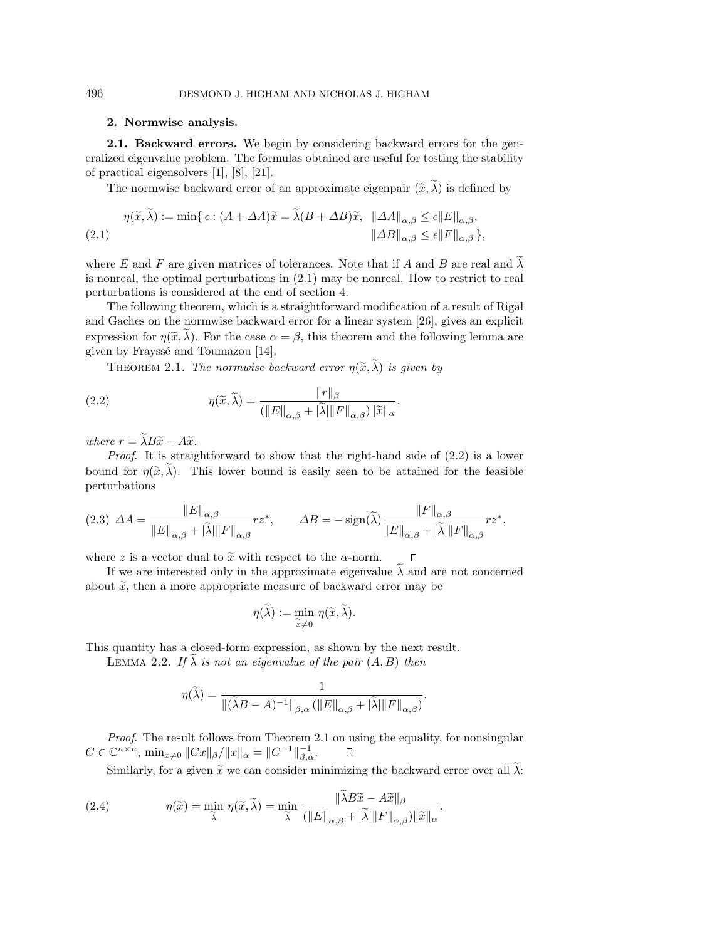## **2. Normwise analysis.**

**2.1. Backward errors.** We begin by considering backward errors for the generalized eigenvalue problem. The formulas obtained are useful for testing the stability of practical eigensolvers [1], [8], [21].

The normwise backward error of an approximate eigenpair  $(\tilde{x}, \lambda)$  is defined by

$$
\eta(\widetilde{x}, \lambda) := \min \{ \epsilon : (A + \Delta A)\widetilde{x} = \lambda (B + \Delta B)\widetilde{x}, \|\Delta A\|_{\alpha, \beta} \le \epsilon \|E\|_{\alpha, \beta}, \|\Delta B\|_{\alpha, \beta} \le \epsilon \|F\|_{\alpha, \beta} \},
$$
\n(2.1)

where E and F are given matrices of tolerances. Note that if A and B are real and  $\widetilde{\lambda}$ is nonreal, the optimal perturbations in (2.1) may be nonreal. How to restrict to real perturbations is considered at the end of section 4.

The following theorem, which is a straightforward modification of a result of Rigal and Gaches on the normwise backward error for a linear system [26], gives an explicit expression for  $\eta(\tilde{x}, \tilde{\lambda})$ . For the case  $\alpha = \beta$ , this theorem and the following lemma are given by Frayssé and Toumazou [14].

THEOREM 2.1. The normwise backward error  $\eta(\widetilde{x}, \widetilde{\lambda})$  is given by

(2.2) 
$$
\eta(\widetilde{x}, \widetilde{\lambda}) = \frac{\|r\|_{\beta}}{(\|E\|_{\alpha,\beta} + |\widetilde{\lambda}| \|F\|_{\alpha,\beta}) \|\widetilde{x}\|_{\alpha}},
$$

where  $r = \tilde{\lambda} B \tilde{x} - A \tilde{x}$ .

Proof. It is straightforward to show that the right-hand side of  $(2.2)$  is a lower bound for  $\eta(\tilde{x}, \tilde{\lambda})$ . This lower bound is easily seen to be attained for the feasible perturbations

$$
(2.3)\ \ \Delta A = \frac{\|E\|_{\alpha,\beta}}{\|E\|_{\alpha,\beta} + |\widetilde{\lambda}| \|F\|_{\alpha,\beta}} rz^*,\qquad \Delta B = -\operatorname{sign}(\widetilde{\lambda}) \frac{\|F\|_{\alpha,\beta}}{\|E\|_{\alpha,\beta} + |\widetilde{\lambda}| \|F\|_{\alpha,\beta}} rz^*,
$$

where z is a vector dual to  $\tilde{x}$  with respect to the  $\alpha$ -norm.  $\Box$ 

If we are interested only in the approximate eigenvalue  $\lambda$  and are not concerned about  $\tilde{x}$ , then a more appropriate measure of backward error may be

$$
\eta(\widetilde{\lambda}) := \min_{\widetilde{x} \neq 0} \eta(\widetilde{x}, \widetilde{\lambda}).
$$

This quantity has a closed-form expression, as shown by the next result.

LEMMA 2.2. If  $\widetilde{\lambda}$  is not an eigenvalue of the pair  $(A, B)$  then

$$
\eta(\widetilde{\lambda}) = \frac{1}{\|(\widetilde{\lambda}B - A)^{-1}\|_{\beta,\alpha} (\|E\|_{\alpha,\beta} + |\widetilde{\lambda}|\|F\|_{\alpha,\beta})}
$$

.

Proof. The result follows from Theorem 2.1 on using the equality, for nonsingular  $C \in \mathbb{C}^{n \times n}$ ,  $\min_{x \neq 0} ||Cx||_{\beta}/||x||_{\alpha} = ||C^{-1}||_{\beta,\alpha}^{-1}.$  $\Box$ 

Similarly, for a given  $\tilde{x}$  we can consider minimizing the backward error over all  $\tilde{\lambda}$ :

(2.4) 
$$
\eta(\widetilde{x}) = \min_{\widetilde{\lambda}} \eta(\widetilde{x}, \widetilde{\lambda}) = \min_{\widetilde{\lambda}} \frac{\|\lambda B\widetilde{x} - A\widetilde{x}\|_{\beta}}{(\|E\|_{\alpha,\beta} + |\widetilde{\lambda}| \|F\|_{\alpha,\beta})\|\widetilde{x}\|_{\alpha}}.
$$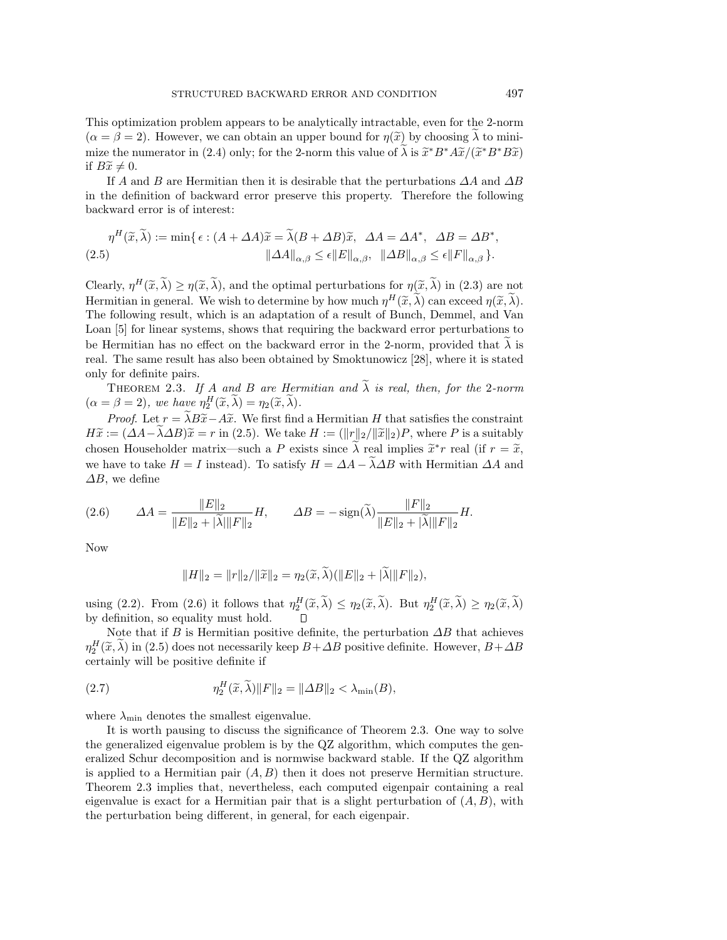This optimization problem appears to be analytically intractable, even for the 2-norm  $(\alpha = \beta = 2)$ . However, we can obtain an upper bound for  $\eta(\tilde{x})$  by choosing  $\lambda$  to minimize the numerator in (2.4) only; for the 2-norm this value of  $\tilde{\lambda}$  is  $\tilde{x}^*B^*\tilde{A}\tilde{x}/(\tilde{x}^*B^*B\tilde{x})$ if  $B\widetilde{x} \neq 0$ .

If A and B are Hermitian then it is desirable that the perturbations  $\Delta A$  and  $\Delta B$ in the definition of backward error preserve this property. Therefore the following backward error is of interest:

$$
\eta^H(\widetilde{x}, \widetilde{\lambda}) := \min \{ \epsilon : (A + \Delta A)\widetilde{x} = \widetilde{\lambda}(B + \Delta B)\widetilde{x}, \ \ \Delta A = \Delta A^*, \ \ \Delta B = \Delta B^*,
$$
  

$$
\|\Delta A\|_{\alpha, \beta} \le \epsilon \|E\|_{\alpha, \beta}, \ \ \|\Delta B\|_{\alpha, \beta} \le \epsilon \|F\|_{\alpha, \beta}.
$$

Clearly,  $\eta^H(\tilde{x}, \tilde{\lambda}) \geq \eta(\tilde{x}, \tilde{\lambda})$ , and the optimal perturbations for  $\eta(\tilde{x}, \tilde{\lambda})$  in (2.3) are not Hermitian in general. We wish to determine by how much  $\eta^H(\widetilde{x}, \widetilde{\lambda})$  can exceed  $\eta(\widetilde{x}, \widetilde{\lambda})$ . The following result, which is an adaptation of a result of Bunch, Demmel, and Van Loan [5] for linear systems, shows that requiring the backward error perturbations to be Hermitian has no effect on the backward error in the 2-norm, provided that  $\lambda$  is real. The same result has also been obtained by Smoktunowicz [28], where it is stated only for definite pairs.

THEOREM 2.3. If A and B are Hermitian and  $\widetilde{\lambda}$  is real, then, for the 2-norm  $(\alpha = \beta = 2),$  we have  $\eta_2^H(\widetilde{x}, \widetilde{\lambda}) = \eta_2(\widetilde{x}, \widetilde{\lambda}).$ 

*Proof.* Let  $r = \tilde{\lambda}B\tilde{x} - A\tilde{x}$ . We first find a Hermitian H that satisfies the constraint  $H\widetilde{x} := (\Delta A - \lambda \Delta B)\widetilde{x} = r$  in (2.5). We take  $H := (\|r\|_2 / \|\widetilde{x}\|_2)P$ , where P is a suitably chosen Householder matrix—such a P exists since  $\tilde{\lambda}$  real implies  $\tilde{x}^*r$  real (if  $r = \tilde{x}$ , we have to take  $H = I$  instead). To satisfy  $H = \Delta A - \tilde{\lambda} \Delta B$  with Hermitian  $\Delta A$  and  $\Delta B$ , we define

(2.6) 
$$
\Delta A = \frac{\|E\|_2}{\|E\|_2 + |\tilde{\lambda}| \|F\|_2} H, \qquad \Delta B = -\operatorname{sign}(\tilde{\lambda}) \frac{\|F\|_2}{\|E\|_2 + |\tilde{\lambda}| \|F\|_2} H.
$$

Now

$$
||H||_2 = ||r||_2 / ||\widetilde{x}||_2 = \eta_2(\widetilde{x}, \widetilde{\lambda})(||E||_2 + |\widetilde{\lambda}||F||_2),
$$

using (2.2). From (2.6) it follows that  $\eta_2^H(\tilde{x}, \lambda) \leq \eta_2(\tilde{x}, \lambda)$ . But  $\eta_2^H(\tilde{x}, \lambda) \geq \eta_2(\tilde{x}, \lambda)$ by definition, so equality must hold.

Note that if B is Hermitian positive definite, the perturbation  $\Delta B$  that achieves  $\eta_2^H(\widetilde{x},\lambda)$  in (2.5) does not necessarily keep  $B+\Delta B$  positive definite. However,  $B+\Delta B$ certainly will be positive definite if

(2.7) 
$$
\eta_2^H(\widetilde{x}, \widetilde{\lambda}) \|F\|_2 = \|\Delta B\|_2 < \lambda_{\min}(B),
$$

where  $\lambda_{\min}$  denotes the smallest eigenvalue.

It is worth pausing to discuss the significance of Theorem 2.3. One way to solve the generalized eigenvalue problem is by the QZ algorithm, which computes the generalized Schur decomposition and is normwise backward stable. If the QZ algorithm is applied to a Hermitian pair  $(A, B)$  then it does not preserve Hermitian structure. Theorem 2.3 implies that, nevertheless, each computed eigenpair containing a real eigenvalue is exact for a Hermitian pair that is a slight perturbation of  $(A, B)$ , with the perturbation being different, in general, for each eigenpair.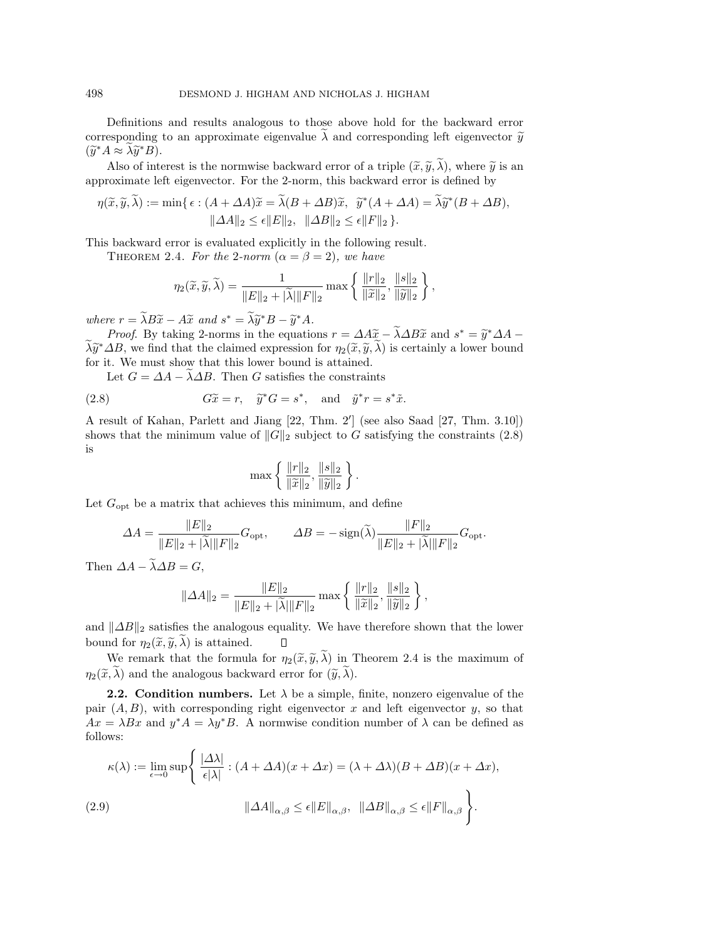Definitions and results analogous to those above hold for the backward error corresponding to an approximate eigenvalue  $\lambda$  and corresponding left eigenvector  $\tilde{y}$  $(\widetilde{y}^*A \approx \lambda \widetilde{y}^*B).$ 

Also of interest is the normwise backward error of a triple  $(\tilde{x}, \tilde{y}, \tilde{\lambda})$ , where  $\tilde{y}$  is an approximate left eigenvector. For the 2-norm, this backward error is defined by

$$
\eta(\widetilde{x}, \widetilde{y}, \lambda) := \min \{ \epsilon : (A + \Delta A)\widetilde{x} = \lambda (B + \Delta B)\widetilde{x}, \ \widetilde{y}^*(A + \Delta A) = \lambda \widetilde{y}^*(B + \Delta B),
$$

$$
\|\Delta A\|_2 \le \epsilon \|E\|_2, \ \|\Delta B\|_2 \le \epsilon \|F\|_2 \}.
$$

This backward error is evaluated explicitly in the following result.

THEOREM 2.4. For the 2-norm  $(\alpha = \beta = 2)$ , we have

$$
\eta_2(\widetilde{x},\widetilde{y},\widetilde{\lambda}) = \frac{1}{\|E\|_2 + |\widetilde{\lambda}| \|F\|_2} \max \left\{ \frac{\|r\|_2}{\|\widetilde{x}\|_2}, \frac{\|s\|_2}{\|\widetilde{y}\|_2} \right\},\,
$$

where  $r = \tilde{\lambda}B\tilde{x} - A\tilde{x}$  and  $s^* = \tilde{\lambda}\tilde{y}^*B - \tilde{y}^*A$ .

*Proof.* By taking 2-norms in the equations  $r = \Delta A\tilde{x} - \tilde{\lambda} \Delta B\tilde{x}$  and  $s^* = \tilde{y}^* \Delta A \lambda \tilde{y}^* \Delta B$ , we find that the claimed expression for  $\eta_2(\tilde{x}, \tilde{y}, \lambda)$  is certainly a lower bound for it. We must show that this lower bound is attained.

Let  $G = \Delta A - \lambda \Delta B$ . Then G satisfies the constraints

(2.8) 
$$
G\tilde{x} = r
$$
,  $\tilde{y}^*G = s^*$ , and  $\tilde{y}^*r = s^*\tilde{x}$ .

A result of Kahan, Parlett and Jiang [22, Thm. 2'] (see also Saad [27, Thm. 3.10]) shows that the minimum value of  $||G||_2$  subject to G satisfying the constraints (2.8) is

$$
\max\left\{\frac{\|r\|_2}{\|\widetilde{x}\|_2}, \frac{\|s\|_2}{\|\widetilde{y}\|_2}\right\}.
$$

Let  $G_{\text{opt}}$  be a matrix that achieves this minimum, and define

$$
\Delta A = \frac{\|E\|_2}{\|E\|_2 + |\widetilde{\lambda}| \|F\|_2} G_{\text{opt}}, \qquad \Delta B = -\operatorname{sign}(\widetilde{\lambda}) \frac{\|F\|_2}{\|E\|_2 + |\widetilde{\lambda}| \|F\|_2} G_{\text{opt}}.
$$

Then  $\Delta A - \tilde{\lambda} \Delta B = G$ ,

$$
\|\varDelta A\|_2 = \frac{\|E\|_2}{\|E\|_2 + |\widetilde{\lambda}| \|F\|_2} \max\left\{\frac{\|r\|_2}{\|\widetilde{x}\|_2}, \frac{\|s\|_2}{\|\widetilde{y}\|_2}\right\},\
$$

and  $\|\Delta B\|_2$  satisfies the analogous equality. We have therefore shown that the lower bound for  $\eta_2(\tilde{x}, \tilde{y}, \lambda)$  is attained.  $\Box$ 

We remark that the formula for  $\eta_2(\tilde{x}, \tilde{y}, \tilde{\lambda})$  in Theorem 2.4 is the maximum of  $\eta_2(\widetilde{x}, \widetilde{\lambda})$  and the analogous backward error for  $(\widetilde{y}, \widetilde{\lambda})$ .

**2.2.** Condition numbers. Let  $\lambda$  be a simple, finite, nonzero eigenvalue of the pair  $(A, B)$ , with corresponding right eigenvector x and left eigenvector y, so that  $Ax = \lambda Bx$  and  $y^*A = \lambda y^*B$ . A normwise condition number of  $\lambda$  can be defined as follows:

$$
\kappa(\lambda) := \lim_{\epsilon \to 0} \sup \left\{ \frac{|\Delta \lambda|}{\epsilon |\lambda|} : (A + \Delta A)(x + \Delta x) = (\lambda + \Delta \lambda)(B + \Delta B)(x + \Delta x), \right\}
$$
  
(2.9)  

$$
\|\Delta A\|_{\alpha, \beta} \le \epsilon \|E\|_{\alpha, \beta}, \quad \|\Delta B\|_{\alpha, \beta} \le \epsilon \|F\|_{\alpha, \beta} \right\}.
$$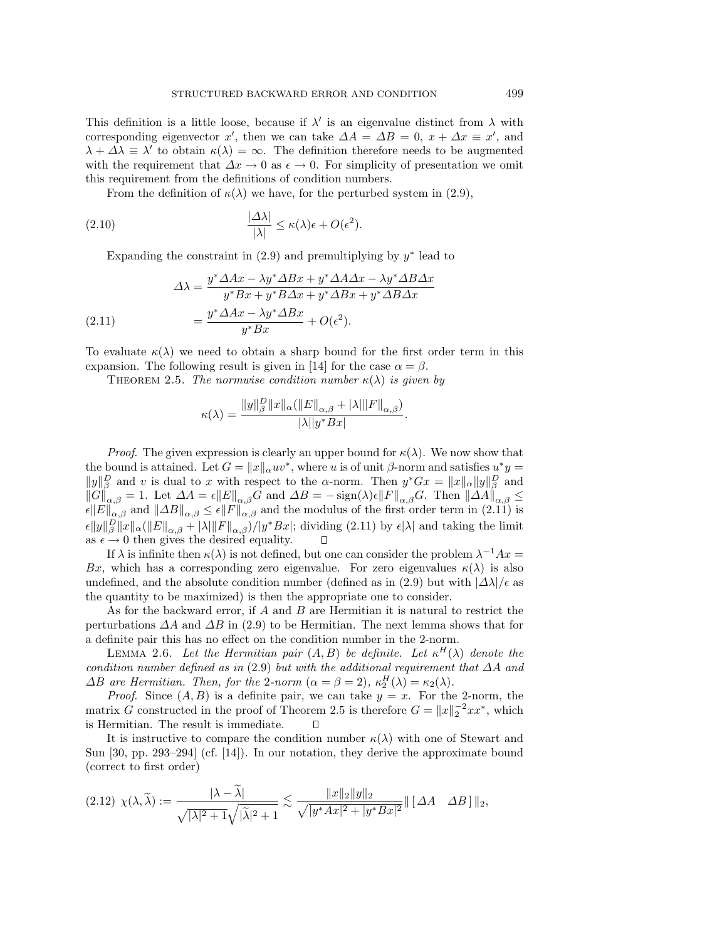This definition is a little loose, because if  $\lambda'$  is an eigenvalue distinct from  $\lambda$  with corresponding eigenvector x', then we can take  $\Delta A = \Delta B = 0$ ,  $x + \Delta x \equiv x'$ , and  $\lambda + \Delta\lambda \equiv \lambda'$  to obtain  $\kappa(\lambda) = \infty$ . The definition therefore needs to be augmented with the requirement that  $\Delta x \to 0$  as  $\epsilon \to 0$ . For simplicity of presentation we omit this requirement from the definitions of condition numbers.

From the definition of  $\kappa(\lambda)$  we have, for the perturbed system in (2.9),

(2.10) 
$$
\frac{|\Delta\lambda|}{|\lambda|} \le \kappa(\lambda)\epsilon + O(\epsilon^2).
$$

Expanding the constraint in  $(2.9)$  and premultiplying by  $y^*$  lead to

$$
\Delta\lambda = \frac{y^* \Delta Ax - \lambda y^* \Delta Bx + y^* \Delta A \Delta x - \lambda y^* \Delta B \Delta x}{y^* Bx + y^* B \Delta x + y^* \Delta Bx + y^* \Delta B \Delta x}
$$
  
(2.11)  

$$
= \frac{y^* \Delta Ax - \lambda y^* \Delta Bx}{y^* Bx} + O(\epsilon^2).
$$

To evaluate  $\kappa(\lambda)$  we need to obtain a sharp bound for the first order term in this expansion. The following result is given in [14] for the case  $\alpha = \beta$ .

THEOREM 2.5. The normwise condition number  $\kappa(\lambda)$  is given by

$$
\kappa(\lambda) = \frac{\|y\|_{\beta}^D \|x\|_{\alpha} (\|E\|_{\alpha,\beta} + |\lambda| \|F\|_{\alpha,\beta})}{|\lambda| |y^* Bx|}.
$$

*Proof.* The given expression is clearly an upper bound for  $\kappa(\lambda)$ . We now show that the bound is attained. Let  $G = ||x||_{\alpha} uv^*$ , where u is of unit β-norm and satisfies  $u^*y =$  $||y||_{\beta}^D$  and v is dual to x with respect to the α-norm. Then  $y^*Gx = ||x||_{\alpha}||y||_{\beta}^D$  and  $||G||_{\alpha,\beta} = 1.$  Let  $\Delta A = \epsilon ||E||_{\alpha,\beta}G$  and  $\Delta B = -\text{sign}(\lambda)\epsilon ||F||_{\alpha,\beta}G$ . Then  $||\Delta A||_{\alpha,\beta} \le$  $\epsilon ||E||_{\alpha,\beta}$  and  $||\Delta B||_{\alpha,\beta} \leq \epsilon ||F||_{\alpha,\beta}$  and the modulus of the first order term in (2.11) is  $\epsilon ||y||_{\beta}^{D} ||x||_{\alpha} (||E||_{\alpha,\beta} + |\lambda||F||_{\alpha,\beta})/|y^*Bx|$ ; dividing (2.11) by  $\epsilon |\lambda|$  and taking the limit as  $\epsilon \to 0$  then gives the desired equality.  $\Box$ 

If  $\lambda$  is infinite then  $\kappa(\lambda)$  is not defined, but one can consider the problem  $\lambda^{-1}Ax =$ Bx, which has a corresponding zero eigenvalue. For zero eigenvalues  $\kappa(\lambda)$  is also undefined, and the absolute condition number (defined as in (2.9) but with  $|\Delta\lambda|/\epsilon$  as the quantity to be maximized) is then the appropriate one to consider.

As for the backward error, if A and B are Hermitian it is natural to restrict the perturbations  $\Delta A$  and  $\Delta B$  in (2.9) to be Hermitian. The next lemma shows that for a definite pair this has no effect on the condition number in the 2-norm.

LEMMA 2.6. Let the Hermitian pair  $(A, B)$  be definite. Let  $\kappa^H(\lambda)$  denote the condition number defined as in (2.9) but with the additional requirement that  $\Delta A$  and  $\Delta B$  are Hermitian. Then, for the 2-norm  $(\alpha = \beta = 2)$ ,  $\kappa_2^H(\lambda) = \kappa_2(\lambda)$ .

*Proof.* Since  $(A, B)$  is a definite pair, we can take  $y = x$ . For the 2-norm, the matrix G constructed in the proof of Theorem 2.5 is therefore  $G = ||x||_2^{-2} x x^*$ , which is Hermitian. The result is immediate.  $\Box$ 

It is instructive to compare the condition number  $\kappa(\lambda)$  with one of Stewart and Sun [30, pp. 293–294] (cf. [14]). In our notation, they derive the approximate bound (correct to first order)

$$
(2.12) \ \chi(\lambda, \widetilde{\lambda}) := \frac{|\lambda - \lambda|}{\sqrt{|\lambda|^2 + 1}\sqrt{|\widetilde{\lambda}|^2 + 1}} \lesssim \frac{\|x\|_2 \|y\|_2}{\sqrt{|y^* A x|^2 + |y^* B x|^2}} \| \begin{bmatrix} \Delta A & \Delta B \end{bmatrix} \|_2,
$$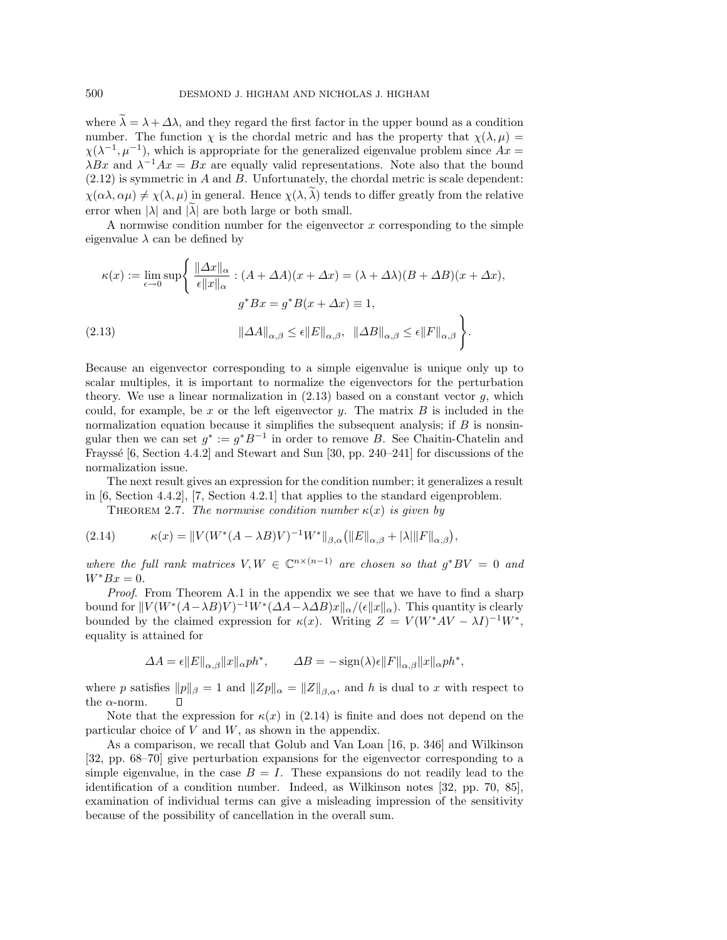where  $\tilde{\lambda} = \lambda + \Delta \lambda$ , and they regard the first factor in the upper bound as a condition number. The function  $\chi$  is the chordal metric and has the property that  $\chi(\lambda, \mu)$  $\chi(\lambda^{-1}, \mu^{-1})$ , which is appropriate for the generalized eigenvalue problem since  $Ax =$  $\lambda Bx$  and  $\lambda^{-1}Ax = Bx$  are equally valid representations. Note also that the bound (2.12) is symmetric in A and B. Unfortunately, the chordal metric is scale dependent:  $\chi(\alpha\lambda,\alpha\mu)\neq \chi(\lambda,\mu)$  in general. Hence  $\chi(\lambda,\tilde{\lambda})$  tends to differ greatly from the relative error when  $|\lambda|$  and  $|\lambda|$  are both large or both small.

A normwise condition number for the eigenvector  $x$  corresponding to the simple eigenvalue  $\lambda$  can be defined by

$$
\kappa(x) := \lim_{\epsilon \to 0} \sup \left\{ \frac{\|\Delta x\|_{\alpha}}{\epsilon \|x\|_{\alpha}} : (A + \Delta A)(x + \Delta x) = (\lambda + \Delta \lambda)(B + \Delta B)(x + \Delta x),
$$

$$
g^* Bx = g^* B(x + \Delta x) \equiv 1,
$$

$$
(2.13)
$$

$$
\|\Delta A\|_{\alpha, \beta} \le \epsilon \|E\|_{\alpha, \beta}, \quad \|\Delta B\|_{\alpha, \beta} \le \epsilon \|F\|_{\alpha, \beta} \right\}.
$$

Because an eigenvector corresponding to a simple eigenvalue is unique only up to scalar multiples, it is important to normalize the eigenvectors for the perturbation theory. We use a linear normalization in  $(2.13)$  based on a constant vector g, which could, for example, be  $x$  or the left eigenvector  $y$ . The matrix  $B$  is included in the normalization equation because it simplifies the subsequent analysis; if  $B$  is nonsingular then we can set  $g^* := g^*B^{-1}$  in order to remove B. See Chaitin-Chatelin and Frayssé  $[6, Section 4.4.2]$  and Stewart and Sun  $[30, pp. 240-241]$  for discussions of the normalization issue.

The next result gives an expression for the condition number; it generalizes a result in [6, Section 4.4.2], [7, Section 4.2.1] that applies to the standard eigenproblem.

THEOREM 2.7. The normwise condition number  $\kappa(x)$  is given by

(2.14) 
$$
\kappa(x) = ||V(W^*(A - \lambda B)V)^{-1}W^*||_{\beta,\alpha} (||E||_{\alpha,\beta} + |\lambda| ||F||_{\alpha,\beta}),
$$

where the full rank matrices  $V, W \in \mathbb{C}^{n \times (n-1)}$  are chosen so that  $q^*BV = 0$  and  $W^*Bx=0.$ 

Proof. From Theorem A.1 in the appendix we see that we have to find a sharp bound for  $||V(W^*(A-\lambda B)V)^{-1}W^*(\Delta A-\lambda \Delta B)x||_{\alpha}/(\epsilon ||x||_{\alpha})$ . This quantity is clearly bounded by the claimed expression for  $\kappa(x)$ . Writing  $Z = V(W^*AV - \lambda I)^{-1}W^*$ , equality is attained for

$$
\Delta A = \epsilon ||E||_{\alpha,\beta} ||x||_{\alpha} ph^*, \qquad \Delta B = -\operatorname{sign}(\lambda)\epsilon ||F||_{\alpha,\beta} ||x||_{\alpha} ph^*,
$$

where p satisfies  $||p||_{\beta} = 1$  and  $||Zp||_{\alpha} = ||Z||_{\beta,\alpha}$ , and h is dual to x with respect to the  $\alpha$ -norm.

Note that the expression for  $\kappa(x)$  in (2.14) is finite and does not depend on the particular choice of  $V$  and  $W$ , as shown in the appendix.

As a comparison, we recall that Golub and Van Loan [16, p. 346] and Wilkinson [32, pp. 68–70] give perturbation expansions for the eigenvector corresponding to a simple eigenvalue, in the case  $B = I$ . These expansions do not readily lead to the identification of a condition number. Indeed, as Wilkinson notes [32, pp. 70, 85], examination of individual terms can give a misleading impression of the sensitivity because of the possibility of cancellation in the overall sum.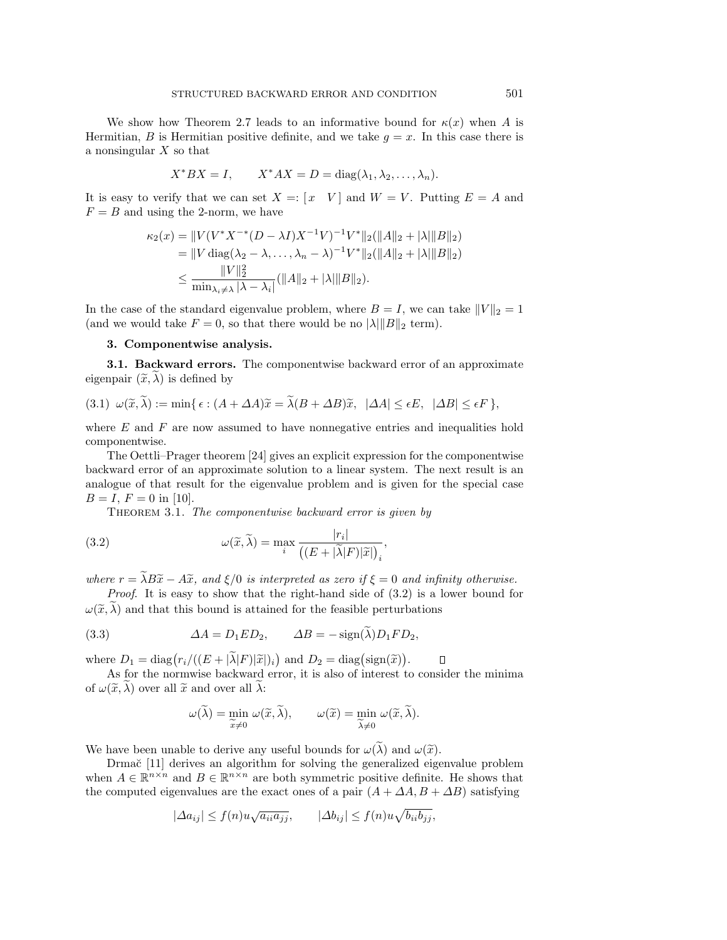We show how Theorem 2.7 leads to an informative bound for  $\kappa(x)$  when A is Hermitian, B is Hermitian positive definite, and we take  $g = x$ . In this case there is a nonsingular  $X$  so that

$$
X^*BX = I, \qquad X^*AX = D = \text{diag}(\lambda_1, \lambda_2, \dots, \lambda_n).
$$

It is easy to verify that we can set  $X =: [x \ V]$  and  $W = V$ . Putting  $E = A$  and  $F = B$  and using the 2-norm, we have

$$
\kappa_2(x) = \|V(V^*X^{-*}(D - \lambda I)X^{-1}V)^{-1}V^*\|_2(\|A\|_2 + |\lambda|\|B\|_2)
$$
  
\n
$$
= \|V \operatorname{diag}(\lambda_2 - \lambda, \dots, \lambda_n - \lambda)^{-1}V^*\|_2(\|A\|_2 + |\lambda|\|B\|_2)
$$
  
\n
$$
\leq \frac{\|V\|_2^2}{\min_{\lambda_i \neq \lambda} |\lambda - \lambda_i|}(\|A\|_2 + |\lambda|\|B\|_2).
$$

In the case of the standard eigenvalue problem, where  $B = I$ , we can take  $||V||_2 = 1$ (and we would take  $F = 0$ , so that there would be no  $|\lambda| \|B\|_2$  term).

### **3. Componentwise analysis.**

**3.1. Backward errors.** The componentwise backward error of an approximate eigenpair  $(\tilde{x}, \lambda)$  is defined by

$$
(3.1) \ \omega(\widetilde{x}, \widetilde{\lambda}) := \min \{ \epsilon : (A + \Delta A)\widetilde{x} = \widetilde{\lambda}(B + \Delta B)\widetilde{x}, \ |\Delta A| \le \epsilon E, \ |\Delta B| \le \epsilon F \},
$$

where  $E$  and  $F$  are now assumed to have nonnegative entries and inequalities hold componentwise.

The Oettli–Prager theorem [24] gives an explicit expression for the componentwise backward error of an approximate solution to a linear system. The next result is an analogue of that result for the eigenvalue problem and is given for the special case  $B = I, F = 0$  in [10].

THEOREM 3.1. The componentwise backward error is given by

(3.2) 
$$
\omega(\widetilde{x}, \widetilde{\lambda}) = \max_{i} \frac{|r_i|}{\left( (E + |\widetilde{\lambda}|F)|\widetilde{x}| \right)_i},
$$

where  $r = \tilde{\lambda}B\tilde{x} - A\tilde{x}$ , and  $\xi/0$  is interpreted as zero if  $\xi = 0$  and infinity otherwise.

Proof. It is easy to show that the right-hand side of  $(3.2)$  is a lower bound for  $\omega(\tilde{x}, \tilde{\lambda})$  and that this bound is attained for the feasible perturbations

(3.3) 
$$
\Delta A = D_1 E D_2, \qquad \Delta B = -\text{sign}(\lambda) D_1 F D_2,
$$

where  $D_1 = \text{diag}(r_i/((E + |\tilde{\lambda}|F)|\tilde{x}|_i)$  and  $D_2 = \text{diag}(\text{sign}(\tilde{x}))$ .  $\Box$ 

As for the normwise backward error, it is also of interest to consider the minima of  $\omega(\widetilde{x}, \widetilde{\lambda})$  over all  $\widetilde{x}$  and over all  $\lambda$ :

$$
\omega(\widetilde{\lambda}) = \min_{\widetilde{x} \neq 0} \omega(\widetilde{x}, \widetilde{\lambda}), \qquad \omega(\widetilde{x}) = \min_{\widetilde{\lambda} \neq 0} \omega(\widetilde{x}, \widetilde{\lambda}).
$$

We have been unable to derive any useful bounds for  $\omega(\lambda)$  and  $\omega(\tilde{x})$ .

Drmač [11] derives an algorithm for solving the generalized eigenvalue problem when  $A \in \mathbb{R}^{n \times n}$  and  $B \in \mathbb{R}^{n \times n}$  are both symmetric positive definite. He shows that the computed eigenvalues are the exact ones of a pair  $(A + \Delta A, B + \Delta B)$  satisfying

$$
|\Delta a_{ij}| \le f(n)u\sqrt{a_{ii}a_{jj}}, \qquad |\Delta b_{ij}| \le f(n)u\sqrt{b_{ii}b_{jj}},
$$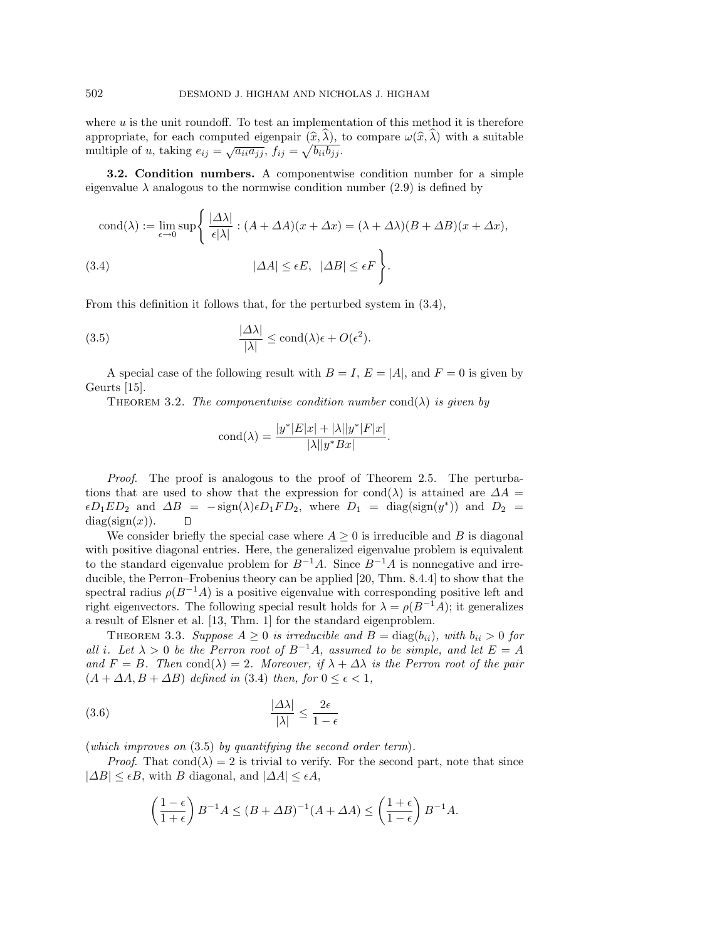where  $u$  is the unit roundoff. To test an implementation of this method it is therefore appropriate, for each computed eigenpair  $(\widehat{x}, \lambda)$ , to compare  $\omega(\widehat{x}, \lambda)$  with a suitable multiple of u, taking  $e_{ij} = \sqrt{a_{ii} a_{jj}}$ ,  $f_{ij} = \sqrt{b_{ii} b_{jj}}$ .

**3.2. Condition numbers.** A componentwise condition number for a simple eigenvalue  $\lambda$  analogous to the normwise condition number (2.9) is defined by

$$
cond(\lambda) := \lim_{\epsilon \to 0} \sup \left\{ \frac{|\Delta \lambda|}{\epsilon |\lambda|} : (A + \Delta A)(x + \Delta x) = (\lambda + \Delta \lambda)(B + \Delta B)(x + \Delta x), \right\}
$$
\n
$$
(3.4) \qquad |\Delta A| \le \epsilon E, \ |\Delta B| \le \epsilon F \left\}.
$$

From this definition it follows that, for the perturbed system in (3.4),

(3.5) 
$$
\frac{|\Delta\lambda|}{|\lambda|} \le \text{cond}(\lambda)\epsilon + O(\epsilon^2).
$$

A special case of the following result with  $B = I$ ,  $E = |A|$ , and  $F = 0$  is given by Geurts [15].

THEOREM 3.2. The componentwise condition number cond( $\lambda$ ) is given by

$$
cond(\lambda) = \frac{|y^*|E|x| + |\lambda||y^*|F|x|}{|\lambda||y^*Bx|}.
$$

Proof. The proof is analogous to the proof of Theorem 2.5. The perturbations that are used to show that the expression for cond( $\lambda$ ) is attained are  $\Delta A =$  $\epsilon D_1ED_2$  and  $\Delta B = -\text{sign}(\lambda)\epsilon D_1FD_2$ , where  $D_1 = \text{diag}(\text{sign}(y^*))$  and  $D_2 =$  $diag(sign(x)).$ Л

We consider briefly the special case where  $A \geq 0$  is irreducible and B is diagonal with positive diagonal entries. Here, the generalized eigenvalue problem is equivalent to the standard eigenvalue problem for  $B^{-1}A$ . Since  $B^{-1}A$  is nonnegative and irreducible, the Perron–Frobenius theory can be applied [20, Thm. 8.4.4] to show that the spectral radius  $\rho(B^{-1}A)$  is a positive eigenvalue with corresponding positive left and right eigenvectors. The following special result holds for  $\lambda = \rho(B^{-1}A)$ ; it generalizes a result of Elsner et al. [13, Thm. 1] for the standard eigenproblem.

THEOREM 3.3. Suppose  $A \geq 0$  is irreducible and  $B = \text{diag}(b_{ii})$ , with  $b_{ii} > 0$  for all i. Let  $\lambda > 0$  be the Perron root of  $B^{-1}A$ , assumed to be simple, and let  $E = A$ and  $F = B$ . Then cond( $\lambda$ ) = 2. Moreover, if  $\lambda + \Delta \lambda$  is the Perron root of the pair  $(A + \Delta A, B + \Delta B)$  defined in (3.4) then, for  $0 \le \epsilon < 1$ ,

$$
\frac{|\Delta\lambda|}{|\lambda|} \le \frac{2\epsilon}{1-\epsilon}
$$

(which improves on (3.5) by quantifying the second order term).

*Proof.* That cond( $\lambda$ ) = 2 is trivial to verify. For the second part, note that since  $|\Delta B| \leq \epsilon B$ , with B diagonal, and  $|\Delta A| \leq \epsilon A$ ,

$$
\left(\frac{1-\epsilon}{1+\epsilon}\right)B^{-1}A \le (B+\Delta B)^{-1}(A+\Delta A) \le \left(\frac{1+\epsilon}{1-\epsilon}\right)B^{-1}A.
$$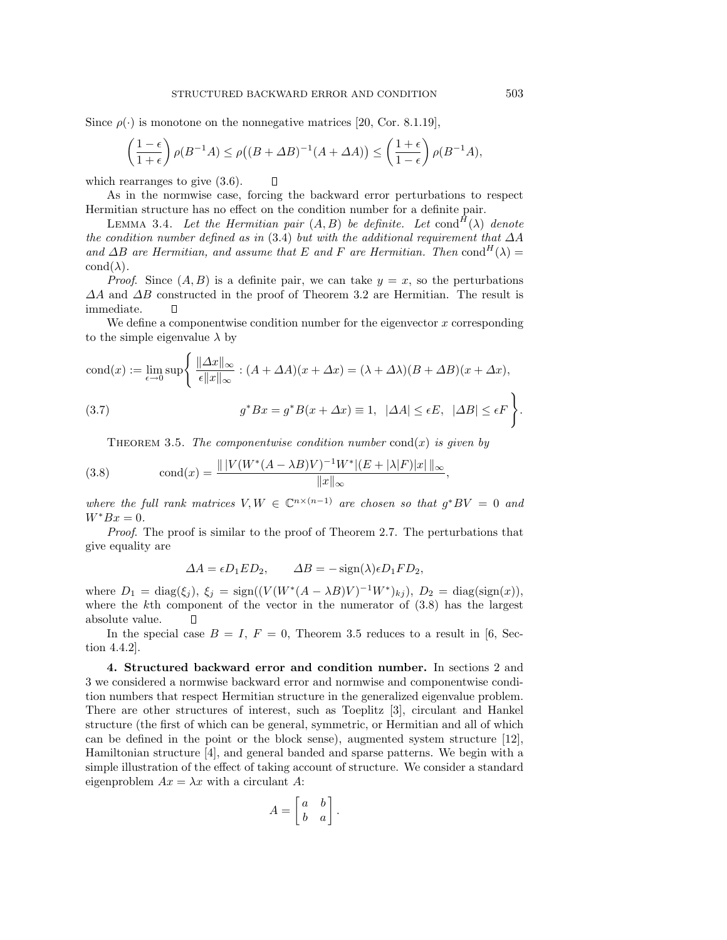Since  $\rho(\cdot)$  is monotone on the nonnegative matrices [20, Cor. 8.1.19],

$$
\left(\frac{1-\epsilon}{1+\epsilon}\right)\rho(B^{-1}A) \le \rho\big((B+\Delta B)^{-1}(A+\Delta A)\big) \le \left(\frac{1+\epsilon}{1-\epsilon}\right)\rho(B^{-1}A),
$$

which rearranges to give  $(3.6)$ .  $\Box$ 

As in the normwise case, forcing the backward error perturbations to respect Hermitian structure has no effect on the condition number for a definite pair.

LEMMA 3.4. Let the Hermitian pair  $(A, B)$  be definite. Let cond<sup>H</sup>( $\lambda$ ) denote the condition number defined as in (3.4) but with the additional requirement that  $\Delta A$ and  $\Delta B$  are Hermitian, and assume that E and F are Hermitian. Then cond<sup>H</sup>( $\lambda$ ) =  $\text{cond}(\lambda)$ .

*Proof.* Since  $(A, B)$  is a definite pair, we can take  $y = x$ , so the perturbations  $\Delta A$  and  $\Delta B$  constructed in the proof of Theorem 3.2 are Hermitian. The result is immediate.  $\Box$ 

We define a componentwise condition number for the eigenvector  $x$  corresponding to the simple eigenvalue  $\lambda$  by

$$
\text{cond}(x) := \lim_{\epsilon \to 0} \sup \left\{ \frac{\| \Delta x \|_{\infty}}{\epsilon \| x \|_{\infty}} : (A + \Delta A)(x + \Delta x) = (\lambda + \Delta \lambda)(B + \Delta B)(x + \Delta x), \right\}
$$
\n
$$
(3.7) \qquad g^* Bx = g^* B(x + \Delta x) \equiv 1, \ | \Delta A | \le \epsilon E, \ | \Delta B | \le \epsilon F \right\}.
$$

THEOREM 3.5. The componentwise condition number cond $(x)$  is given by

(3.8) 
$$
\text{cond}(x) = \frac{\| |V(W^*(A - \lambda B)V)^{-1}W^* | (E + |\lambda|F) |x| \|_{\infty}}{\|x\|_{\infty}},
$$

where the full rank matrices  $V, W \in \mathbb{C}^{n \times (n-1)}$  are chosen so that  $g^*BV = 0$  and  $W^*Bx=0.$ 

Proof. The proof is similar to the proof of Theorem 2.7. The perturbations that give equality are

$$
\Delta A = \epsilon D_1 E D_2, \qquad \Delta B = -\operatorname{sign}(\lambda) \epsilon D_1 F D_2,
$$

where  $D_1 = \text{diag}(\xi_j)$ ,  $\xi_j = \text{sign}((V(W^*(A - \lambda B)V)^{-1}W^*)_{kj})$ ,  $D_2 = \text{diag}(\text{sign}(x))$ , where the kth component of the vector in the numerator of (3.8) has the largest absolute value.

In the special case  $B = I$ ,  $F = 0$ , Theorem 3.5 reduces to a result in [6, Section 4.4.2].

**4. Structured backward error and condition number.** In sections 2 and 3 we considered a normwise backward error and normwise and componentwise condition numbers that respect Hermitian structure in the generalized eigenvalue problem. There are other structures of interest, such as Toeplitz [3], circulant and Hankel structure (the first of which can be general, symmetric, or Hermitian and all of which can be defined in the point or the block sense), augmented system structure [12], Hamiltonian structure [4], and general banded and sparse patterns. We begin with a simple illustration of the effect of taking account of structure. We consider a standard eigenproblem  $Ax = \lambda x$  with a circulant A:

$$
A = \begin{bmatrix} a & b \\ b & a \end{bmatrix}.
$$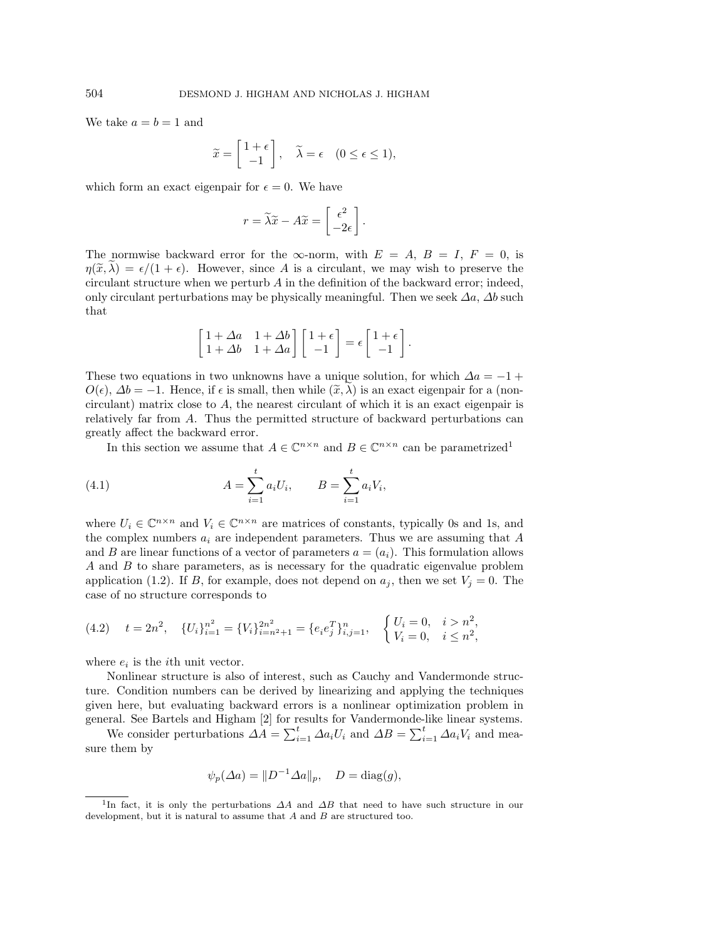We take  $a = b = 1$  and

$$
\widetilde{x} = \begin{bmatrix} 1 + \epsilon \\ -1 \end{bmatrix}, \quad \widetilde{\lambda} = \epsilon \quad (0 \le \epsilon \le 1),
$$

which form an exact eigenpair for  $\epsilon = 0$ . We have

$$
r = \widetilde{\lambda}\widetilde{x} - A\widetilde{x} = \begin{bmatrix} \epsilon^2 \\ -2\epsilon \end{bmatrix}.
$$

The normwise backward error for the  $\infty$ -norm, with  $E = A, B = I, F = 0$ , is  $\eta(\tilde{x},\lambda) = \epsilon/(1+\epsilon)$ . However, since A is a circulant, we may wish to preserve the circulant structure when we perturb  $A$  in the definition of the backward error; indeed, only circulant perturbations may be physically meaningful. Then we seek  $\Delta a$ ,  $\Delta b$  such that

$$
\begin{bmatrix} 1+\varDelta a & 1+\varDelta b \\ 1+\varDelta b & 1+\varDelta a \end{bmatrix} \begin{bmatrix} 1+\epsilon \\ -1 \end{bmatrix} = \epsilon \begin{bmatrix} 1+\epsilon \\ -1 \end{bmatrix}.
$$

These two equations in two unknowns have a unique solution, for which  $\Delta a = -1 +$  $O(\epsilon)$ ,  $\Delta b = -1$ . Hence, if  $\epsilon$  is small, then while  $(\tilde{x}, \lambda)$  is an exact eigenpair for a (noncirculant) matrix close to A, the nearest circulant of which it is an exact eigenpair is relatively far from A. Thus the permitted structure of backward perturbations can greatly affect the backward error.

In this section we assume that  $A \in \mathbb{C}^{n \times n}$  and  $B \in \mathbb{C}^{n \times n}$  can be parametrized<sup>1</sup>

(4.1) 
$$
A = \sum_{i=1}^{t} a_i U_i, \qquad B = \sum_{i=1}^{t} a_i V_i,
$$

where  $U_i \in \mathbb{C}^{n \times n}$  and  $V_i \in \mathbb{C}^{n \times n}$  are matrices of constants, typically 0s and 1s, and the complex numbers  $a_i$  are independent parameters. Thus we are assuming that A and B are linear functions of a vector of parameters  $a = (a_i)$ . This formulation allows A and B to share parameters, as is necessary for the quadratic eigenvalue problem application (1.2). If B, for example, does not depend on  $a_j$ , then we set  $V_j = 0$ . The case of no structure corresponds to

$$
(4.2) \t t = 2n^2, \t {U_i}_{i=1}^{n^2} = {V_i}_{i=n^2+1}^{2n^2} = {e_i e_j^T}_{i,j=1}^n, \t {U_i = 0, i > n^2, \t {V_i = 0, i \le n^2, \t {V_i = 0, i \le n^2, \t {V_i = 0, i \le n^2, \t {V_i = 0, i \le n^2, \t {V_i = 0, i \le n^2, \t {V_i = 0, i \le n^2, \t {V_i = 0, i \le n^2, \t {V_i = 0, i \le n^2, \t {V_i = 0, i \le n^2, \t {V_i = 0, i \le n^2, \t {V_i = 0, i \le n^2, \t {V_i = 0, i \le n^2, \t {V_i = 0, i \le n^2, \t {V_i = 0, i \le n^2, \t {V_i = 0, i \le n^2, \t {V_i = 0, i \le n^2, \t {V_i = 0, i \le n^2, \t {V_i = 0, i \le n^2, \t {V_i = 0, i \le n^2, \t {V_i = 0, i \le n^2, \t {V_i = 0, i \le n^2, \t {V_i = 0, i \le n^2, \t {V_i = 0, i \le n^2, \t {V_i = 0, i \le n^2, \t {V_i = 0, i \le n^2, \t {V_i = 0, i \le n^2, \t {V_i = 0, i \le n^2, \t {V_i = 0, i \le n^2, \t {V_i = 0, i \le n^2, \t {V_i = 0, i \le n^2, \t {V_i = 0, i \le n^2, \t {V_i = 0, i \le n^2, \t {V_i = 0, i \le n^2, \t {V_i = 0, i \le n^2, \t {V_i = 0, i \le n^2, \t {V_i = 0, i \le n^2, \t {V_i = 0, i \le n^2, \t {V_i = 0, i \le n^2, \t {V_i = 0, i \le n^2, \t {V_i = 0, i \le n^2, \t {V_i = 0, i \le n^2, \t {V_i = 0, i \le n^2, \t {V_i = 0
$$

where  $e_i$  is the *i*th unit vector.

Nonlinear structure is also of interest, such as Cauchy and Vandermonde structure. Condition numbers can be derived by linearizing and applying the techniques given here, but evaluating backward errors is a nonlinear optimization problem in general. See Bartels and Higham [2] for results for Vandermonde-like linear systems.

We consider perturbations  $\Delta A = \sum_{i=1}^{t} \Delta a_i U_i$  and  $\Delta B = \sum_{i=1}^{t} \Delta a_i V_i$  and measure them by

$$
\psi_p(\Delta a) = ||D^{-1}\Delta a||_p, \quad D = \text{diag}(g),
$$

<sup>&</sup>lt;sup>1</sup>In fact, it is only the perturbations  $\Delta A$  and  $\Delta B$  that need to have such structure in our development, but it is natural to assume that A and B are structured too.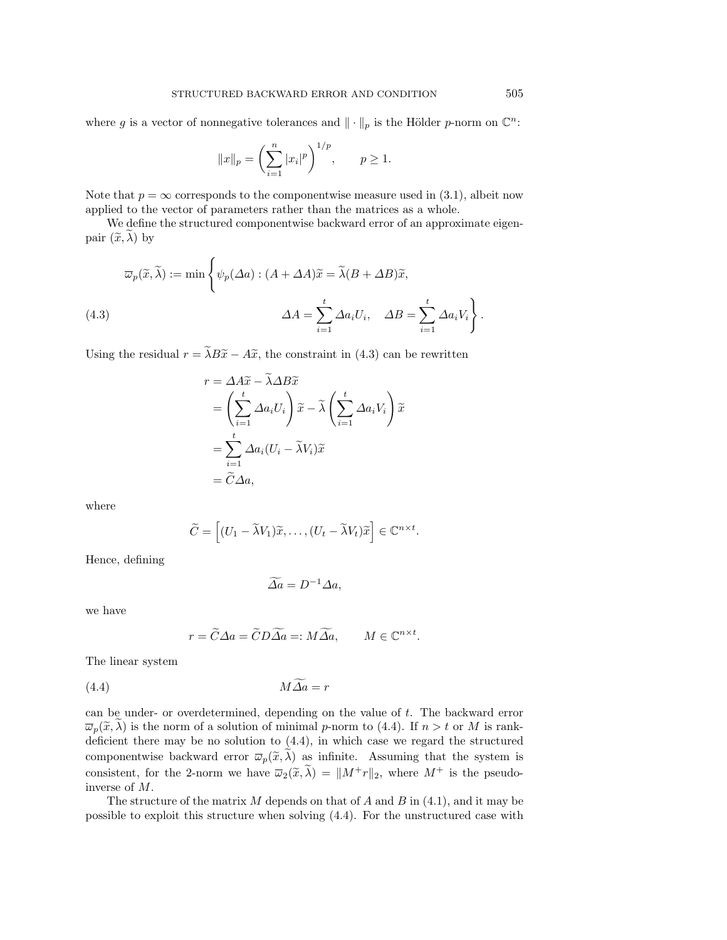where g is a vector of nonnegative tolerances and  $\|\cdot\|_p$  is the Hölder p-norm on  $\mathbb{C}^n$ :

$$
||x||_p = \left(\sum_{i=1}^n |x_i|^p\right)^{1/p}, \quad p \ge 1.
$$

Note that  $p = \infty$  corresponds to the componentwise measure used in (3.1), albeit now applied to the vector of parameters rather than the matrices as a whole.

We define the structured componentwise backward error of an approximate eigenpair  $(\widetilde{x}, \lambda)$  by

$$
\overline{\omega}_p(\widetilde{x}, \widetilde{\lambda}) := \min \left\{ \psi_p(\Delta a) : (A + \Delta A)\widetilde{x} = \widetilde{\lambda}(B + \Delta B)\widetilde{x},
$$
  
(4.3)  

$$
\Delta A = \sum_{i=1}^t \Delta a_i U_i, \quad \Delta B = \sum_{i=1}^t \Delta a_i V_i \right\}.
$$

Using the residual  $r = \tilde{\lambda}B\tilde{x} - A\tilde{x}$ , the constraint in (4.3) can be rewritten

$$
r = \Delta A \widetilde{x} - \widetilde{\lambda} \Delta B \widetilde{x}
$$
  
=  $\left(\sum_{i=1}^{t} \Delta a_i U_i\right) \widetilde{x} - \widetilde{\lambda} \left(\sum_{i=1}^{t} \Delta a_i V_i\right) \widetilde{x}$   
=  $\sum_{i=1}^{t} \Delta a_i (U_i - \widetilde{\lambda} V_i) \widetilde{x}$   
=  $\widetilde{C} \Delta a$ ,

where

$$
\widetilde{C} = \left[ (U_1 - \widetilde{\lambda} V_1) \widetilde{x}, \dots, (U_t - \widetilde{\lambda} V_t) \widetilde{x} \right] \in \mathbb{C}^{n \times t}.
$$

Hence, defining

$$
\widetilde{\Delta a} = D^{-1} \Delta a,
$$

we have

$$
r = \widetilde{C}\Delta a = \widetilde{C}D\widetilde{\Delta a} =: M\widetilde{\Delta a}, \qquad M \in \mathbb{C}^{n \times t}.
$$

The linear system

(4.4) M∆af = r

can be under- or overdetermined, depending on the value of t. The backward error  $\overline{\omega}_p(\widetilde{x}, \lambda)$  is the norm of a solution of minimal p-norm to (4.4). If  $n > t$  or M is rankdeficient there may be no solution to (4.4), in which case we regard the structured componentwise backward error  $\overline{\omega}_p(\tilde{x}, \tilde{\lambda})$  as infinite. Assuming that the system is consistent, for the 2-norm we have  $\overline{\omega}_2(\widetilde{x}, \widetilde{\lambda}) = ||M+r||_2$ , where  $M^+$  is the pseudoinverse of M.

The structure of the matrix  $M$  depends on that of  $A$  and  $B$  in (4.1), and it may be possible to exploit this structure when solving (4.4). For the unstructured case with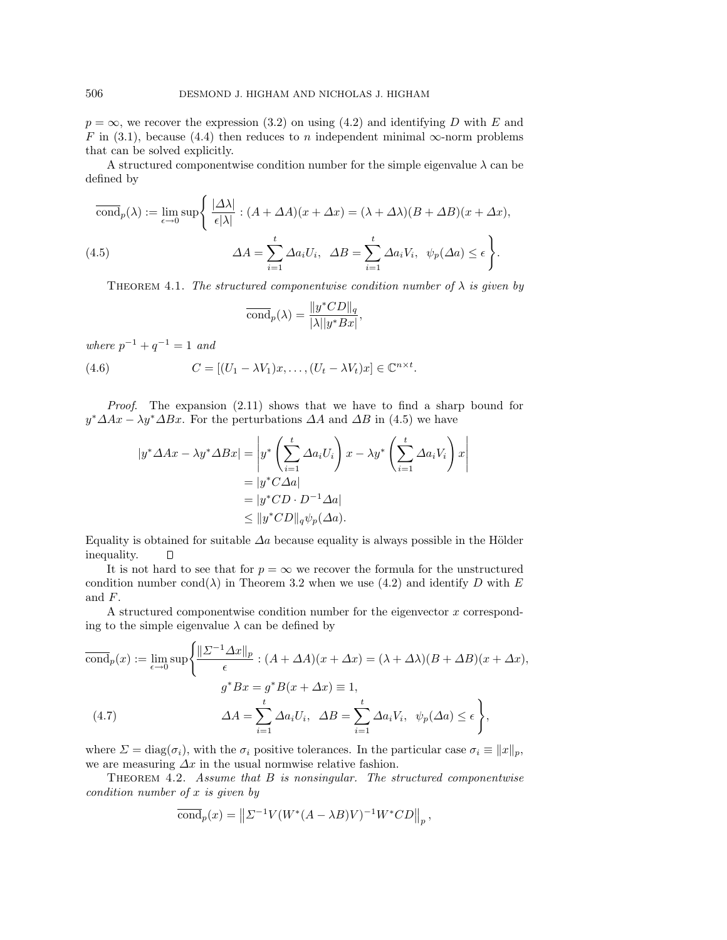$p = \infty$ , we recover the expression (3.2) on using (4.2) and identifying D with E and F in (3.1), because (4.4) then reduces to n independent minimal  $\infty$ -norm problems that can be solved explicitly.

A structured componentwise condition number for the simple eigenvalue  $\lambda$  can be defined by

$$
\overline{\text{cond}}_p(\lambda) := \lim_{\epsilon \to 0} \sup \left\{ \frac{|\Delta \lambda|}{\epsilon |\lambda|} : (A + \Delta A)(x + \Delta x) = (\lambda + \Delta \lambda)(B + \Delta B)(x + \Delta x), \right\}
$$
\n
$$
\Delta A = \sum_{i=1}^t \Delta a_i U_i, \quad \Delta B = \sum_{i=1}^t \Delta a_i V_i, \quad \psi_p(\Delta a) \le \epsilon \right\}.
$$

THEOREM 4.1. The structured componentwise condition number of  $\lambda$  is given by

$$
\overline{\text{cond}}_p(\lambda) = \frac{\|y^* CD\|_q}{|\lambda| |y^* Bx|},
$$

where  $p^{-1} + q^{-1} = 1$  and

(4.6) 
$$
C = [(U_1 - \lambda V_1)x, \dots, (U_t - \lambda V_t)x] \in \mathbb{C}^{n \times t}.
$$

Proof. The expansion (2.11) shows that we have to find a sharp bound for  $y^* \Delta Ax - \lambda y^* \Delta Bx$ . For the perturbations  $\Delta A$  and  $\Delta B$  in (4.5) we have

$$
|y^* \Delta Ax - \lambda y^* \Delta Bx| = \left| y^* \left( \sum_{i=1}^t \Delta a_i U_i \right) x - \lambda y^* \left( \sum_{i=1}^t \Delta a_i V_i \right) x \right|
$$
  
=  $|y^* C \Delta a|$   
=  $|y^* CD \cdot D^{-1} \Delta a|$   
 $\leq ||y^* CD ||_q \psi_p(\Delta a).$ 

Equality is obtained for suitable  $\Delta a$  because equality is always possible in the Hölder inequality.  $\Box$ 

It is not hard to see that for  $p = \infty$  we recover the formula for the unstructured condition number cond( $\lambda$ ) in Theorem 3.2 when we use (4.2) and identify D with E and F.

A structured componentwise condition number for the eigenvector  $x$  corresponding to the simple eigenvalue  $\lambda$  can be defined by

$$
\overline{\text{cond}}_p(x) := \lim_{\epsilon \to 0} \sup \left\{ \frac{\| \Sigma^{-1} \Delta x \|_p}{\epsilon} : (A + \Delta A)(x + \Delta x) = (\lambda + \Delta \lambda)(B + \Delta B)(x + \Delta x), \right\}
$$
\n
$$
g^* B x = g^* B(x + \Delta x) \equiv 1,
$$
\n
$$
\Delta A = \sum_{i=1}^t \Delta a_i U_i, \quad \Delta B = \sum_{i=1}^t \Delta a_i V_i, \quad \psi_p(\Delta a) \le \epsilon \right\},
$$

where  $\Sigma = \text{diag}(\sigma_i)$ , with the  $\sigma_i$  positive tolerances. In the particular case  $\sigma_i \equiv ||x||_p$ , we are measuring  $\Delta x$  in the usual normwise relative fashion.

THEOREM 4.2. Assume that  $B$  is nonsingular. The structured componentwise condition number of x is given by

$$
\overline{\text{cond}}_p(x) = \left\| \Sigma^{-1} V(W^*(A - \lambda B)V)^{-1} W^* CD \right\|_p,
$$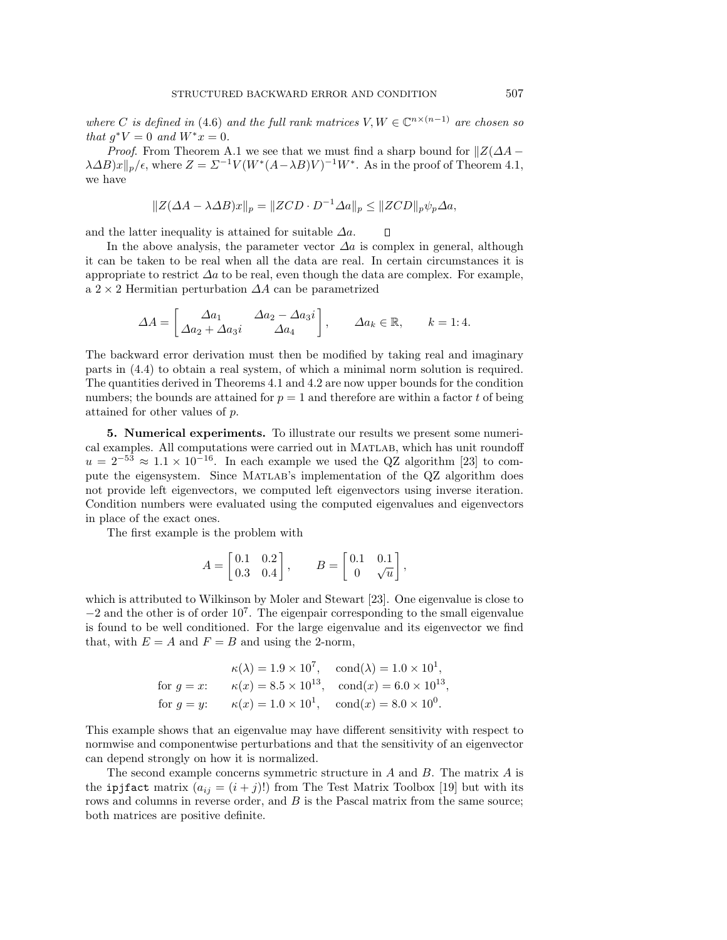where C is defined in (4.6) and the full rank matrices  $V, W \in \mathbb{C}^{n \times (n-1)}$  are chosen so that  $q^*V = 0$  and  $W^*x = 0$ .

*Proof.* From Theorem A.1 we see that we must find a sharp bound for  $\|Z(\Delta A \lambda \Delta B$ )x $||_p/\epsilon$ , where  $Z = \Sigma^{-1} V (W^*(A-\lambda B)V)^{-1}W^*$ . As in the proof of Theorem 4.1, we have

$$
||Z(\Delta A - \lambda \Delta B)x||_p = ||ZCD \cdot D^{-1} \Delta a||_p \le ||ZCD||_p \psi_p \Delta a,
$$

and the latter inequality is attained for suitable  $\Delta a$ .  $\Box$ 

In the above analysis, the parameter vector  $\Delta a$  is complex in general, although it can be taken to be real when all the data are real. In certain circumstances it is appropriate to restrict  $\Delta a$  to be real, even though the data are complex. For example, a 2 × 2 Hermitian perturbation  $\Delta A$  can be parametrized

$$
\Delta A = \begin{bmatrix} \Delta a_1 & \Delta a_2 - \Delta a_3 i \\ \Delta a_2 + \Delta a_3 i & \Delta a_4 \end{bmatrix}, \qquad \Delta a_k \in \mathbb{R}, \qquad k = 1:4.
$$

The backward error derivation must then be modified by taking real and imaginary parts in (4.4) to obtain a real system, of which a minimal norm solution is required. The quantities derived in Theorems 4.1 and 4.2 are now upper bounds for the condition numbers; the bounds are attained for  $p = 1$  and therefore are within a factor t of being attained for other values of p.

**5. Numerical experiments.** To illustrate our results we present some numerical examples. All computations were carried out in Matlab, which has unit roundoff  $u = 2^{-53} \approx 1.1 \times 10^{-16}$ . In each example we used the QZ algorithm [23] to compute the eigensystem. Since Matlab's implementation of the QZ algorithm does not provide left eigenvectors, we computed left eigenvectors using inverse iteration. Condition numbers were evaluated using the computed eigenvalues and eigenvectors in place of the exact ones.

The first example is the problem with

$$
A=\begin{bmatrix}0.1 & 0.2\\ 0.3 & 0.4\end{bmatrix},\qquad B=\begin{bmatrix}0.1 & 0.1\\ 0 & \sqrt{u}\end{bmatrix},
$$

which is attributed to Wilkinson by Moler and Stewart [23]. One eigenvalue is close to  $-2$  and the other is of order  $10^7$ . The eigenpair corresponding to the small eigenvalue is found to be well conditioned. For the large eigenvalue and its eigenvector we find that, with  $E = A$  and  $F = B$  and using the 2-norm,

$$
\kappa(\lambda) = 1.9 \times 10^7, \quad \text{cond}(\lambda) = 1.0 \times 10^1,
$$
  
for  $g = x$ :  $\kappa(x) = 8.5 \times 10^{13}, \quad \text{cond}(x) = 6.0 \times 10^{13},$   
for  $g = y$ :  $\kappa(x) = 1.0 \times 10^1, \quad \text{cond}(x) = 8.0 \times 10^0.$ 

This example shows that an eigenvalue may have different sensitivity with respect to normwise and componentwise perturbations and that the sensitivity of an eigenvector can depend strongly on how it is normalized.

The second example concerns symmetric structure in A and B. The matrix A is the ipjfact matrix  $(a_{ij} = (i + j)!)$  from The Test Matrix Toolbox [19] but with its rows and columns in reverse order, and B is the Pascal matrix from the same source; both matrices are positive definite.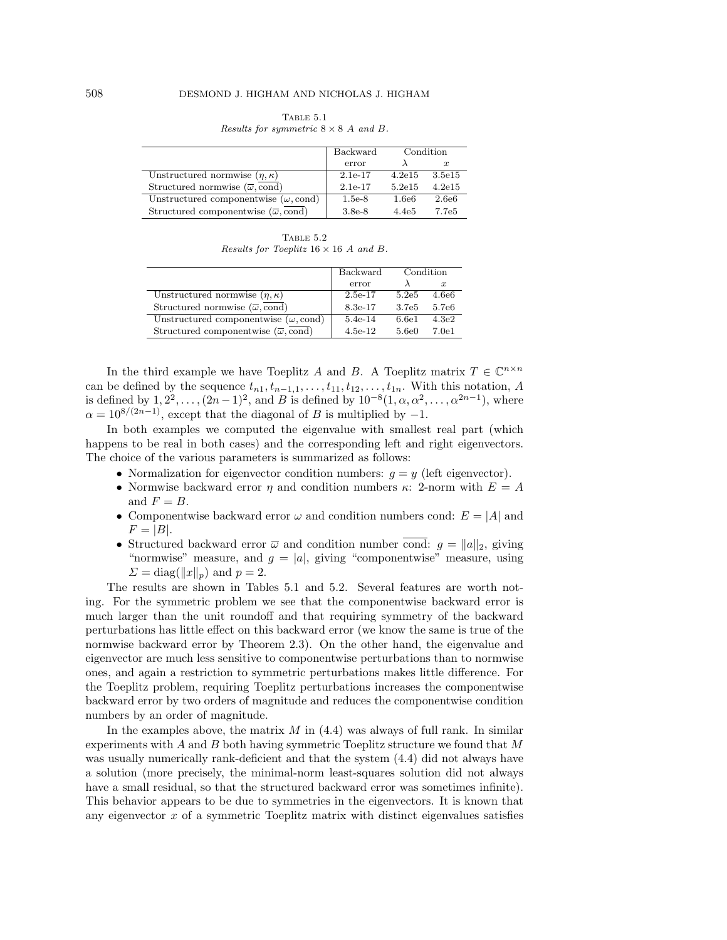| TABLE 5.1                                   |  |  |  |
|---------------------------------------------|--|--|--|
| Results for symmetric $8 \times 8$ A and B. |  |  |  |

|                                                             | Backward  | Condition         |                   |
|-------------------------------------------------------------|-----------|-------------------|-------------------|
|                                                             | error     |                   | $\boldsymbol{x}$  |
| Unstructured normwise $(\eta, \kappa)$                      | 2.1e-17   | 4.2e15            | 3.5e15            |
| Structured normwise $(\overline{\omega}, \text{cond})$      | $2.1e-17$ | 5.2e15            | 4.2e15            |
| Unstructured componentwise $(\omega, \text{cond})$          | $1.5e-8$  | 1.6e6             | 2.6e <sub>6</sub> |
| Structured componentwise $(\overline{\omega}, \text{cond})$ | $3.8e-8$  | 4.4e <sub>5</sub> | 7.7e5             |

TABLE  $5.2$ Results for Toeplitz  $16 \times 16$  A and B.

|                                                             | Backward<br>Condition |       |                   |
|-------------------------------------------------------------|-----------------------|-------|-------------------|
|                                                             | error                 |       | $\boldsymbol{x}$  |
| Unstructured normwise $(\eta, \kappa)$                      | $2.5e-17$             | 5.2e5 | 4.6e6             |
| Structured normwise $(\overline{\omega}, \text{cond})$      | 8.3e-17               | 3.7e5 | 5.7e <sub>6</sub> |
| Unstructured componentwise $(\omega, \text{cond})$          | $5.4e-14$             | 6.6e1 | 4.3e2             |
| Structured componentwise $(\overline{\omega}, \text{cond})$ | $4.5e-12$             | 5.6e0 | 7.0e1             |

In the third example we have Toeplitz A and B. A Toeplitz matrix  $T \in \mathbb{C}^{n \times n}$ can be defined by the sequence  $t_{n1}, t_{n-1,1},\ldots,t_{11}, t_{12},\ldots,t_{1n}$ . With this notation, A is defined by  $1, 2^2, \ldots, (2n-1)^2$ , and B is defined by  $10^{-8}(1, \alpha, \alpha^2, \ldots, \alpha^{2n-1})$ , where  $\alpha = 10^{8/(2n-1)}$ , except that the diagonal of B is multiplied by -1.

In both examples we computed the eigenvalue with smallest real part (which happens to be real in both cases) and the corresponding left and right eigenvectors. The choice of the various parameters is summarized as follows:

- Normalization for eigenvector condition numbers:  $q = y$  (left eigenvector).
- Normwise backward error  $\eta$  and condition numbers  $\kappa$ : 2-norm with  $E = A$ and  $F = B$ .
- Componentwise backward error  $\omega$  and condition numbers cond:  $E = |A|$  and  $F = |B|.$
- Structured backward error  $\overline{\omega}$  and condition number cond:  $q = ||a||_2$ , giving "normwise" measure, and  $g = |a|$ , giving "componentwise" measure, using  $\Sigma = \text{diag}(\Vert x \Vert_p)$  and  $p = 2$ .

The results are shown in Tables 5.1 and 5.2. Several features are worth noting. For the symmetric problem we see that the componentwise backward error is much larger than the unit roundoff and that requiring symmetry of the backward perturbations has little effect on this backward error (we know the same is true of the normwise backward error by Theorem 2.3). On the other hand, the eigenvalue and eigenvector are much less sensitive to componentwise perturbations than to normwise ones, and again a restriction to symmetric perturbations makes little difference. For the Toeplitz problem, requiring Toeplitz perturbations increases the componentwise backward error by two orders of magnitude and reduces the componentwise condition numbers by an order of magnitude.

In the examples above, the matrix  $M$  in  $(4.4)$  was always of full rank. In similar experiments with  $A$  and  $B$  both having symmetric Toeplitz structure we found that  $M$ was usually numerically rank-deficient and that the system (4.4) did not always have a solution (more precisely, the minimal-norm least-squares solution did not always have a small residual, so that the structured backward error was sometimes infinite). This behavior appears to be due to symmetries in the eigenvectors. It is known that any eigenvector  $x$  of a symmetric Toeplitz matrix with distinct eigenvalues satisfies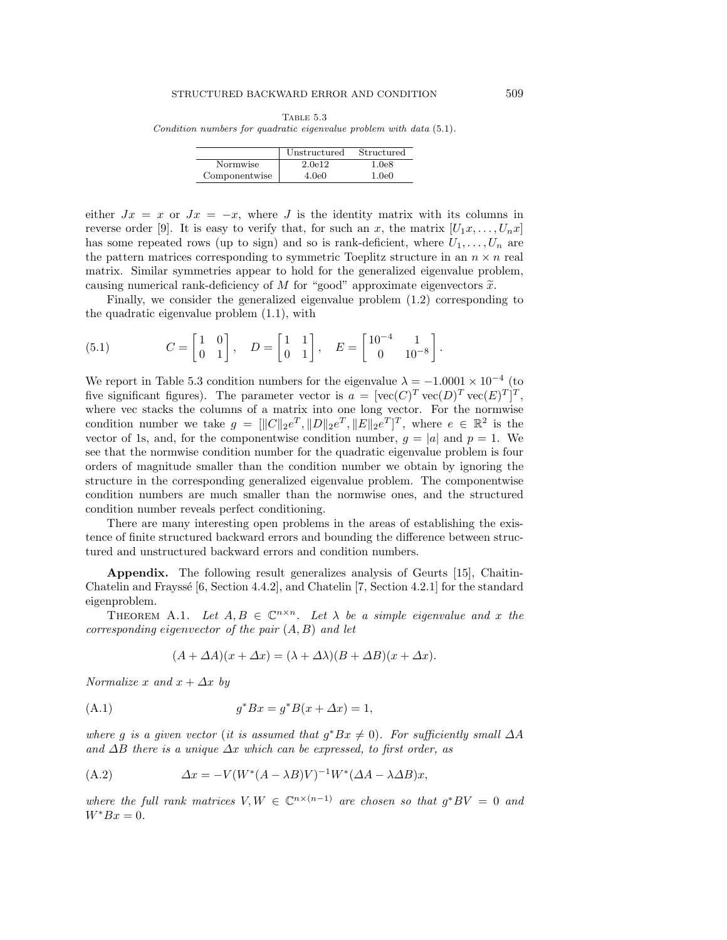Table 5.3 Condition numbers for quadratic eigenvalue problem with data (5.1).

|               | Unstructured | Structured |
|---------------|--------------|------------|
| Normwise      | 2.0e12       | 1.0e8      |
| Componentwise | 4.0e0        | 1.0e0      |

either  $Jx = x$  or  $Jx = -x$ , where J is the identity matrix with its columns in reverse order [9]. It is easy to verify that, for such an x, the matrix  $[U_1x, \ldots, U_nx]$ has some repeated rows (up to sign) and so is rank-deficient, where  $U_1, \ldots, U_n$  are the pattern matrices corresponding to symmetric Toeplitz structure in an  $n \times n$  real matrix. Similar symmetries appear to hold for the generalized eigenvalue problem, causing numerical rank-deficiency of M for "good" approximate eigenvectors  $\tilde{x}$ .

Finally, we consider the generalized eigenvalue problem (1.2) corresponding to the quadratic eigenvalue problem (1.1), with

(5.1) 
$$
C = \begin{bmatrix} 1 & 0 \\ 0 & 1 \end{bmatrix}, \quad D = \begin{bmatrix} 1 & 1 \\ 0 & 1 \end{bmatrix}, \quad E = \begin{bmatrix} 10^{-4} & 1 \\ 0 & 10^{-8} \end{bmatrix}.
$$

We report in Table 5.3 condition numbers for the eigenvalue  $\lambda = -1.0001 \times 10^{-4}$  (to five significant figures). The parameter vector is  $a = [\text{vec}(C)^T \text{vec}(D)^T \text{vec}(E)^T]^T$ , where vec stacks the columns of a matrix into one long vector. For the normwise condition number we take  $g = [\|C\|_2 e^T, \|D\|_2 e^T, \|E\|_2 e^T]^T$ , where  $e \in \mathbb{R}^2$  is the vector of 1s, and, for the componentwise condition number,  $g = |a|$  and  $p = 1$ . We see that the normwise condition number for the quadratic eigenvalue problem is four orders of magnitude smaller than the condition number we obtain by ignoring the structure in the corresponding generalized eigenvalue problem. The componentwise condition numbers are much smaller than the normwise ones, and the structured condition number reveals perfect conditioning.

There are many interesting open problems in the areas of establishing the existence of finite structured backward errors and bounding the difference between structured and unstructured backward errors and condition numbers.

**Appendix.** The following result generalizes analysis of Geurts [15], Chaitin-Chatelin and Frayssé [6, Section 4.4.2], and Chatelin [7, Section 4.2.1] for the standard eigenproblem.

THEOREM A.1. Let  $A, B \in \mathbb{C}^{n \times n}$ . Let  $\lambda$  be a simple eigenvalue and x the corresponding eigenvector of the pair  $(A, B)$  and let

$$
(A + \Delta A)(x + \Delta x) = (\lambda + \Delta \lambda)(B + \Delta B)(x + \Delta x).
$$

Normalize x and  $x + \Delta x$  by

(A.1) 
$$
g^* B x = g^* B (x + \Delta x) = 1,
$$

where g is a given vector (it is assumed that  $g^*Bx \neq 0$ ). For sufficiently small  $\Delta A$ and  $\Delta B$  there is a unique  $\Delta x$  which can be expressed, to first order, as

(A.2) 
$$
\Delta x = -V(W^*(A - \lambda B)V)^{-1}W^*(\Delta A - \lambda \Delta B)x,
$$

where the full rank matrices  $V, W \in \mathbb{C}^{n \times (n-1)}$  are chosen so that  $g^*BV = 0$  and  $W^*Bx=0.$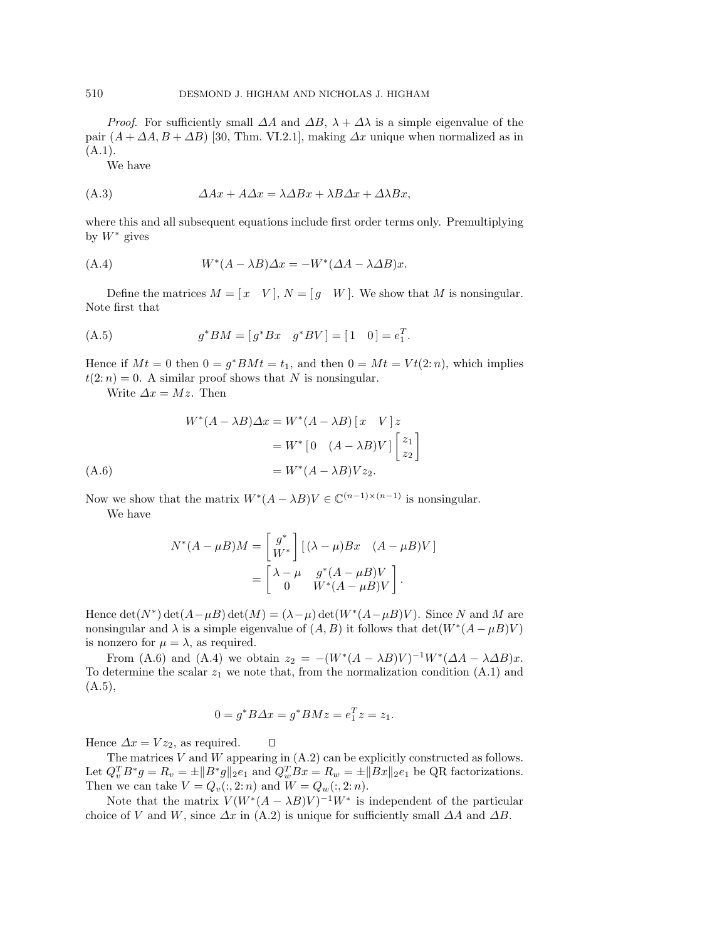*Proof.* For sufficiently small  $\Delta A$  and  $\Delta B$ ,  $\lambda + \Delta \lambda$  is a simple eigenvalue of the pair  $(A + \Delta A, B + \Delta B)$  [30, Thm. VI.2.1], making  $\Delta x$  unique when normalized as in  $(A.1).$ 

We have

$$
(A.3) \t\t\t\t $\Delta Ax + A\Delta x = \lambda \Delta Bx + \lambda B\Delta x + \Delta \lambda Bx,$
$$

where this and all subsequent equations include first order terms only. Premultiplying by  $W^*$  gives

(A.4) 
$$
W^*(A - \lambda B)\Delta x = -W^*(\Delta A - \lambda \Delta B)x.
$$

Define the matrices  $M = \begin{bmatrix} x & V \end{bmatrix}$ ,  $N = \begin{bmatrix} g & W \end{bmatrix}$ . We show that M is nonsingular. Note first that

(A.5) 
$$
g^*BM = [g^*Bx \quad g^*BV] = [1 \quad 0] = e_1^T.
$$

Hence if  $Mt = 0$  then  $0 = g^*BMt = t_1$ , and then  $0 = Mt = Vt(2:n)$ , which implies  $t(2:n) = 0$ . A similar proof shows that N is nonsingular.

Write  $\Delta x = Mz$ . Then

$$
W^*(A - \lambda B)\Delta x = W^*(A - \lambda B) [x \quad V] z
$$

$$
= W^* [0 \quad (A - \lambda B)V] \begin{bmatrix} z_1 \\ z_2 \end{bmatrix}
$$

$$
= W^*(A - \lambda B)V z_2.
$$

Now we show that the matrix  $W^*(A - \lambda B)V \in \mathbb{C}^{(n-1)\times(n-1)}$  is nonsingular.

We have

$$
N^*(A - \mu B)M = \begin{bmatrix} g^* \\ W^* \end{bmatrix} [(\lambda - \mu)Bx \quad (A - \mu B)V]
$$

$$
= \begin{bmatrix} \lambda - \mu & g^*(A - \mu B)V \\ 0 & W^*(A - \mu B)V \end{bmatrix}.
$$

Hence det(N<sup>\*</sup>) det( $A-\mu B$ ) det( $M=(\lambda-\mu)$  det( $W^*(A-\mu B)V$ ). Since N and M are nonsingular and  $\lambda$  is a simple eigenvalue of  $(A, B)$  it follows that  $\det(W^*(A - \mu B)V)$ is nonzero for  $\mu = \lambda$ , as required.

From (A.6) and (A.4) we obtain  $z_2 = -(W^*(A - \lambda B)V)^{-1}W^*(\Delta A - \lambda \Delta B)x$ . To determine the scalar  $z_1$  we note that, from the normalization condition  $(A.1)$  and  $(A.5),$ 

$$
0 = g^* B \Delta x = g^* B M z = e_1^T z = z_1.
$$

 $\Box$ 

Hence  $\Delta x = V z_2$ , as required.

The matrices  $V$  and  $W$  appearing in  $(A.2)$  can be explicitly constructed as follows. Let  $Q_v^T B^* g = R_v = \pm ||B^* g||_2 e_1$  and  $Q_w^T Bx = R_w = \pm ||Bx||_2 e_1$  be QR factorizations. Then we can take  $V = Q_v(:, 2:n)$  and  $W = Q_w(:, 2:n)$ .

Note that the matrix  $V(W^*(A - \lambda B)V)^{-1}W^*$  is independent of the particular choice of V and W, since  $\Delta x$  in (A.2) is unique for sufficiently small  $\Delta A$  and  $\Delta B$ .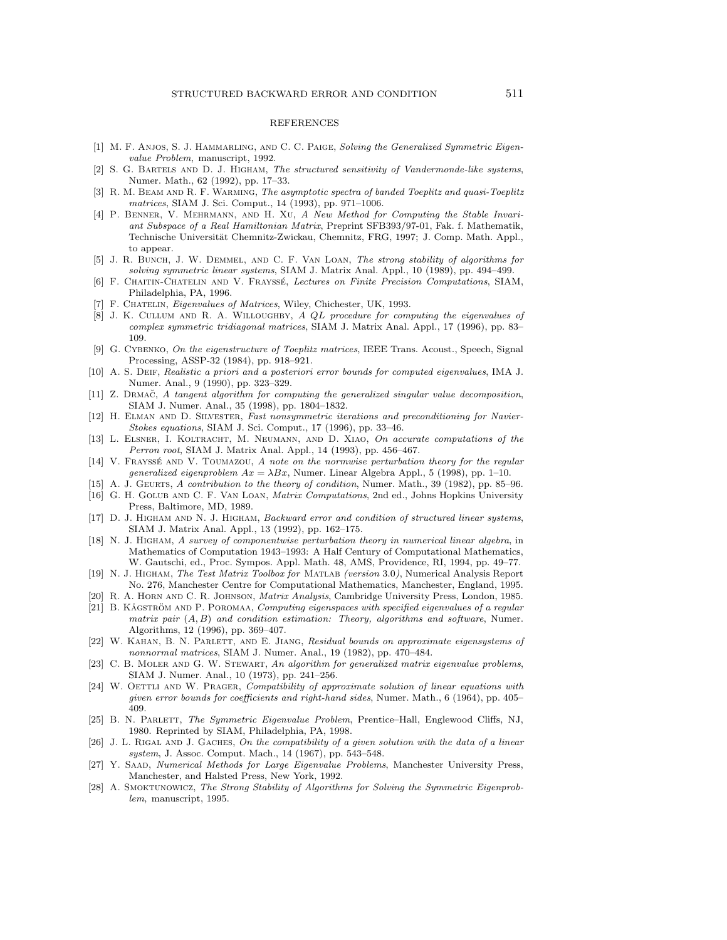### REFERENCES

- [1] M. F. ANJOS, S. J. HAMMARLING, AND C. C. PAIGE, Solving the Generalized Symmetric Eigenvalue Problem, manuscript, 1992.
- [2] S. G. Bartels and D. J. Higham, The structured sensitivity of Vandermonde-like systems, Numer. Math., 62 (1992), pp. 17–33.
- [3] R. M. BEAM AND R. F. WARMING, The asymptotic spectra of banded Toeplitz and quasi-Toeplitz matrices, SIAM J. Sci. Comput., 14 (1993), pp. 971–1006.
- [4] P. Benner, V. Mehrmann, and H. Xu, A New Method for Computing the Stable Invariant Subspace of a Real Hamiltonian Matrix, Preprint SFB393/97-01, Fak. f. Mathematik, Technische Universität Chemnitz-Zwickau, Chemnitz, FRG, 1997; J. Comp. Math. Appl., to appear.
- [5] J. R. BUNCH, J. W. DEMMEL, AND C. F. VAN LOAN, The strong stability of algorithms for solving symmetric linear systems, SIAM J. Matrix Anal. Appl., 10 (1989), pp. 494–499.
- [6] F. CHAITIN-CHATELIN AND V. FRAYSSÉ, Lectures on Finite Precision Computations, SIAM, Philadelphia, PA, 1996.
- [7] F. CHATELIN, *Eigenvalues of Matrices*, Wiley, Chichester, UK, 1993.
- [8] J. K. CULLUM AND R. A. WILLOUGHBY, A QL procedure for computing the eigenvalues of complex symmetric tridiagonal matrices, SIAM J. Matrix Anal. Appl., 17 (1996), pp. 83– 109.
- [9] G. Cybenko, On the eigenstructure of Toeplitz matrices, IEEE Trans. Acoust., Speech, Signal Processing, ASSP-32 (1984), pp. 918–921.
- [10] A. S. Deif, Realistic a priori and a posteriori error bounds for computed eigenvalues, IMA J. Numer. Anal., 9 (1990), pp. 323–329.
- [11] Z. DRMAC, A tangent algorithm for computing the generalized singular value decomposition, SIAM J. Numer. Anal., 35 (1998), pp. 1804–1832.
- [12] H. Elman and D. Silvester, Fast nonsymmetric iterations and preconditioning for Navier-Stokes equations, SIAM J. Sci. Comput., 17 (1996), pp. 33–46.
- [13] L. ELSNER, I. KOLTRACHT, M. NEUMANN, AND D. XIAO, On accurate computations of the Perron root, SIAM J. Matrix Anal. Appl., 14 (1993), pp. 456–467.
- [14] V. FRAYSSÉ AND V. TOUMAZOU, A note on the normwise perturbation theory for the regular generalized eigenproblem  $Ax = \lambda Bx$ , Numer. Linear Algebra Appl., 5 (1998), pp. 1–10.
- [15] A. J. GEURTS, A contribution to the theory of condition, Numer. Math., 39 (1982), pp. 85–96. [16] G. H. Golub and C. F. Van Loan, Matrix Computations, 2nd ed., Johns Hopkins University
- Press, Baltimore, MD, 1989. [17] D. J. HIGHAM AND N. J. HIGHAM, Backward error and condition of structured linear systems,
- SIAM J. Matrix Anal. Appl., 13 (1992), pp. 162–175.
- [18] N. J. HIGHAM, A survey of componentwise perturbation theory in numerical linear algebra, in Mathematics of Computation 1943–1993: A Half Century of Computational Mathematics, W. Gautschi, ed., Proc. Sympos. Appl. Math. 48, AMS, Providence, RI, 1994, pp. 49–77.
- [19] N. J. Higham, The Test Matrix Toolbox for Matlab (version 3.0), Numerical Analysis Report No. 276, Manchester Centre for Computational Mathematics, Manchester, England, 1995.
- [20] R. A. Horn and C. R. Johnson, Matrix Analysis, Cambridge University Press, London, 1985. [21] B. KÅGSTRÖM AND P. POROMAA, Computing eigenspaces with specified eigenvalues of a regular matrix pair  $(A, B)$  and condition estimation: Theory, algorithms and software, Numer. Algorithms, 12 (1996), pp. 369–407.
- [22] W. Kahan, B. N. Parlett, and E. Jiang, Residual bounds on approximate eigensystems of nonnormal matrices, SIAM J. Numer. Anal., 19 (1982), pp. 470–484.
- [23] C. B. MOLER AND G. W. STEWART, An algorithm for generalized matrix eigenvalue problems, SIAM J. Numer. Anal., 10 (1973), pp. 241–256.
- [24] W. OETTLI AND W. PRAGER, Compatibility of approximate solution of linear equations with given error bounds for coefficients and right-hand sides, Numer. Math., 6 (1964), pp. 405– 409.
- [25] B. N. PARLETT, The Symmetric Eigenvalue Problem, Prentice–Hall, Englewood Cliffs, NJ, 1980. Reprinted by SIAM, Philadelphia, PA, 1998.
- [26] J. L. RIGAL AND J. GACHES, On the compatibility of a given solution with the data of a linear system, J. Assoc. Comput. Mach., 14 (1967), pp. 543–548.
- [27] Y. Saad, Numerical Methods for Large Eigenvalue Problems, Manchester University Press, Manchester, and Halsted Press, New York, 1992.
- [28] A. SMOKTUNOWICZ, The Strong Stability of Algorithms for Solving the Symmetric Eigenproblem, manuscript, 1995.